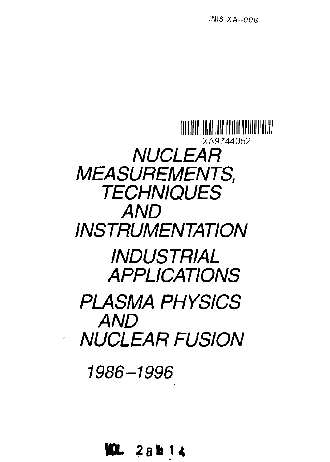

**ML 2 <sup>8</sup> » i U**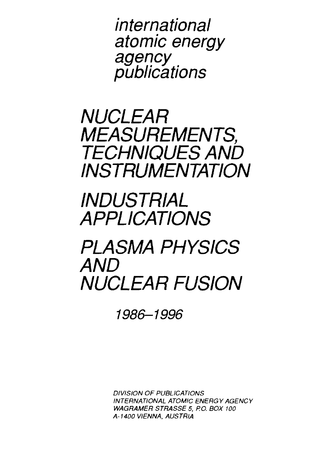international atomic energy agency publications

NUCLEAR MEASUREMENTS, TECHNIQUES AND INSTRUMENTATION

**INDUSTRIAL** APPLICATIONS

# PLASMA PHYSICS AND NUCLEAR FUSION

1986-1996

DIVISION OF PUBLICATIONS INTERNATIONAL ATOMIC ENERGY AGENCY WAGRAMER STRASSE 5, P.O. BOX 100 A-1400 VIENNA, AUSTRIA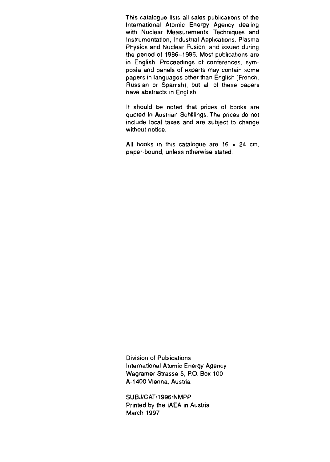This catalogue lists all sales publications of the International Atomic Energy Agency dealing with Nuclear Measurements, Techniques and Instrumentation, Industrial Applications, Plasma Physics and Nuclear Fusion, and issued during the period of 1986-1996. Most publications are in English. Proceedings of conferences, symposia and panels of experts may contain some papers in languages other than English (French, Russian or Spanish), but all of these papers have abstracts in English.

It should be noted that prices of books are quoted in Austrian Schillings. The prices do not include local taxes and are subject to change without notice.

All books in this catalogue are  $16 \times 24$  cm, paper-bound, unless otherwise stated.

Division of Publications International Atomic Energy Agency Wagramer Strasse 5, P.O. Box 100 A-1400 Vienna, Austria

SUBJ/CAT/1996/NMPP Printed by the IAEA in Austria March 1997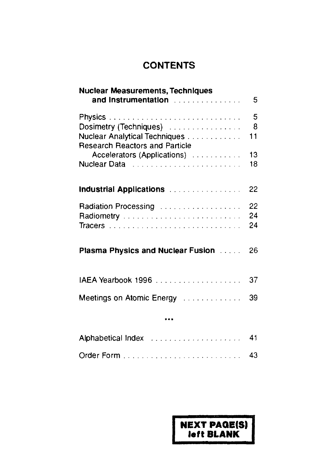## **CONTENTS**

| Nuclear Measurements, Techniques<br>and Instrumentation <b>Activities And Instrumentation</b> | 5   |
|-----------------------------------------------------------------------------------------------|-----|
|                                                                                               | -5  |
| Dosimetry (Techniques)                                                                        | - 8 |
| Nuclear Analytical Techniques                                                                 | 11  |
| <b>Research Reactors and Particle</b>                                                         |     |
| Accelerators (Applications)                                                                   | 13  |
|                                                                                               | 18  |
| Industrial Applications (Fig. 2010) and the control of                                        | 22  |
| Radiation Processing                                                                          | 22  |
| Radiometry                                                                                    | 24  |
|                                                                                               | 24  |
| Plasma Physics and Nuclear Fusion <b>Fig. 1.1.</b>                                            | 26  |
| IAEA Yearbook 1996                                                                            | 37  |
| Meetings on Atomic Energy <b>Construction</b>                                                 | 39  |
|                                                                                               |     |
| Alphabetical Index (Fig. 2010) (Fig. 2010) (Fig. 2010)                                        | 41  |
|                                                                                               | 43  |

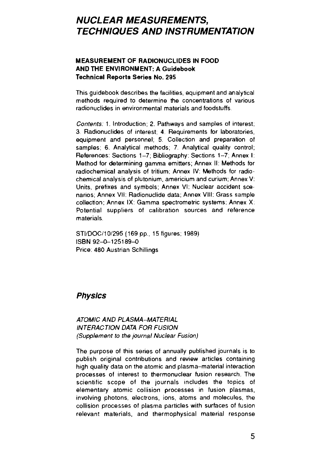## **NUCLEAR MEASUREMENTS, TECHNIQUES AND INSTRUMENTATION**

#### **MEASUREMENT OF RADIONUCLIDES IN FOOD AND THE ENVIRONMENT: A Guidebook Technical Reports Series No. 295**

This guidebook describes the facilities, equipment and analytical methods required to determine the concentrations of various radionuclides in environmental materials and foodstuffs

Contents: 1. Introduction; 2. Pathways and samples of interest; 3 Radionuclides of interest; 4 Requirements for laboratories, equipment and personnel; 5 Collection and preparation of samples; 6. Analytical methods; 7. Analytical quality control; References: Sections 1-7; Bibliography: Sections 1-7; Annex I: Method for determining gamma emitters; Annex II: Methods for radiochemical analysis of tritium; Annex IV: Methods for radiochemical analysis of plutonium, americium and curium; Annex V: Units, prefixes and symbols; Annex VI: Nuclear accident scenarios; Annex VII: Radionuclide data; Annex VIII: Grass sample collection; Annex IX: Gamma spectrometric systems; Annex X: Potential suppliers of calibration sources and reference materials.

STI/DOC/10/295 (169 pp., 15 figures; 1989) ISBN 92-0-125189-0 Price: 480 Austrian Schillings

### **Physics**

#### ATOMIC AND PLASMA-MATERIAL INTERACTION DATA FOR FUSION (Supplement to the journal Nuclear Fusion)

The purpose of this series of annually published journals is to publish original contributions and review articles containing high quality data on the atomic and plasma-material interaction processes of interest to thermonuclear fusion research The scientific scope of the journals includes the topics of elementary atomic collision processes in fusion plasmas, involving photons, electrons, ions, atoms and molecules, the collision processes of plasma particles with surfaces of fusion relevant materials, and thermophysical material response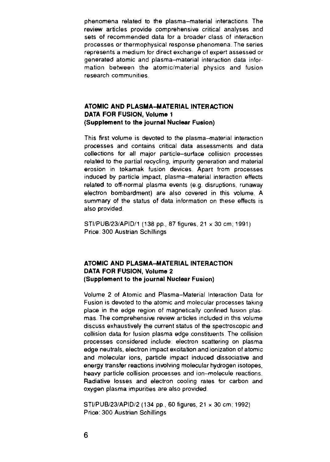phenomena related to the plasma-material interactions The review articles provide comprehensive critical analyses and sets of recommended data for a broader class of interaction processes or thermophysical response phenomena. The series represents a medium for direct exchange of expert assessed or generated atomic and plasma-material interaction data infor mation between the atomic/material physics and fusion research communities

#### **ATOMIC AND PLASMA-MATERIAL INTERACTION DATA FOR FUSION, Volume 1 (Supplement to the journal Nuclear Fusion)**

This first volume is devoted to the plasma-material interaction processes and contains critical data assessments and data collections for all major particle-surface collision processes related to the partial recycling, impurity generation and material erosion in tokamak fusion devices. Apart from processes induced by particle impact, plasma-material interaction effects related to off-normal plasma events (e.g. disruptions, runaway electron bombardment) are also covered in this volume. A summary of the status of data information on these effects is also provided

STI/PUB/23/APID/1 (138 pp., 87 figures, 21 x 30 cm; 1991) Price: 300 Austrian Schillings

#### **ATOMIC AND PLASMA-MATERIAL INTERACTION DATA FOR FUSION, Volume 2 (Supplement to the journal Nuclear Fusion)**

Volume 2 of Atomic and Plasma-Material Interaction Data for Fusion is devoted to the atomic and molecular processes taking place in the edge region of magnetically confined fusion plasmas. The comprehensive review articles included in this volume discuss exhaustively the current status of the spectroscopic and collision data for fusion plasma edge constituents The collision processes considered include: electron scattering on plasma edge neutrals, electron impact excitation and ionization of atomic and molecular ions, particle impact induced dissociative and energy transfer reactions involving molecular hydrogen isotopes, heavy particle collision processes and ion-molecule reactions Radiative losses and electron cooling rates for carbon and oxygen plasma impurities are also provided

STI/PUB/23/APID/2 (134 pp., 60 figures, 21 x 30 cm; 1992) Price: 300 Austrian Schillings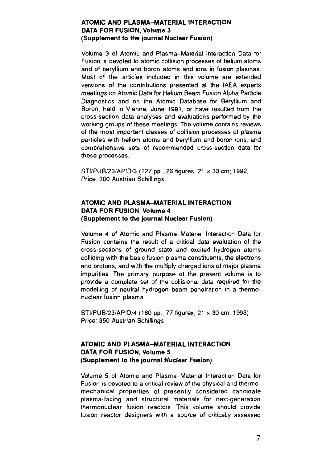#### **ATOMIC AND PLASMA-MATERIAL INTERACTION DATA FOR FUSION, Volume 3 (Supplement to the journal Nuclear Fusion)**

Volume 3 of Atomic and Plasma-Material Interaction Data for Fusion is devoted to atomic collision processes of helium atoms and of beryllium and boron atoms and ions in fusion plasmas. Most of the articles included in this volume are extended versions of the contributions presented at the IAEA experts meetings on Atomic Data for Helium Beam Fusion Alpha Particle Diagnostics and on the Atomic Database for Beryllium and Boron, held in Vienna, June 1991, or have resulted from the cross-section data analyses and evaluations performed by the working groups of these meetings. The volume contains reviews of the most important classes of collision processes of plasma particles with helium atoms and beryllium and boron ions, and comprehensive sets of recommended cross-section data for these processes.

STI/PUB/23/APID/3 (127 pp., 26 figures, 21 x 30 cm; 1992) Price: 300 Austrian Schillings

#### **ATOMIC AND PLASMA-MATERIAL INTERACTION DATA FOR FUSION, Volume 4 (Supplement to the journal Nuclear Fusion)**

Volume 4 of Atomic and Plasma-Material Interaction Data for Fusion contains the result of a critical data evaluation of the cross-sections of ground state and excited hydrogen atoms colliding with the basic fusion plasma constituents, the electrons and protons, and with the multiply charged ions of major plasma impurities. The primary purpose of the present volume is to provide a complete set of the collisional data required for the modelling of neutral hydrogen beam penetration in a thermonuclear fusion plasma.

STI/PUB/23/APID/4 (180 pp., 77 figures, 21 x 30 cm; 1993) Price: 350 Austrian Schillings

#### **ATOMIC AND PLASMA-MATERIAL INTERACTION DATA FOR FUSION, Volume 5 (Supplement to the journal Nuclear Fusion)**

Volume 5 of Atomic and Plasma-Material Interaction Data for Fusion is devoted to a critical review of the physical and thermomechanical properties of presently considered candidate plasma-facing and structural materials for next-generation thermonuclear fusion reactors This volume should provide fusion reactor designers with a source of critically assessed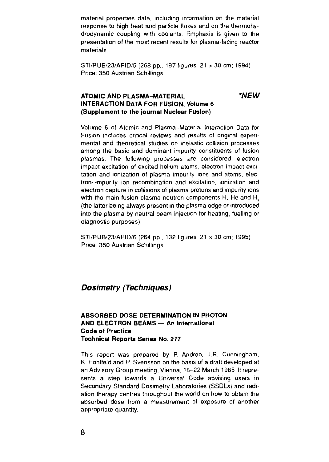material properties data, including information on the material response to high heat and particle fluxes and on the thermohy drodynamic coupling with coolants. Emphasis is given to the presentation of the most recent results for plasma-facing reactor materials.

STI/PUB/23/APID/5 (268 pp., 197 figures, 21 x 30 cm; 1994) Price: 350 Austrian Schillings

#### **ATOMIC AND PLASMA-MATERIAL \*NEW INTERACTION DATA FOR FUSION, Volume 6 (Supplement to the journal Nuclear Fusion)**

Volume 6 of Atomic and Plasma-Material Interaction Data for Fusion includes critical reviews and results of original experimental and theoretical studies on inelastic collision processes among the basic and dominant impurity constituents of fusion plasmas The following processes are considered: electron impact excitation of excited helium atoms, electron impact excitation and ionization of plasma impurity ions and atoms, electron-impurity-ion recombination and excitation, ionization and electron capture in collisions of plasma protons and impurity ions with the main fusion plasma neutron components H, He and H, (the latter being always present in the plasma edge or introduced into the plasma by neutral beam injection for heating, fuelling or diagnostic purposes).

STI/PUB/23/APID/6 (264 pp , 132 figures, 21 x 30 cm; 1995) Price: 350 Austrian Schillings

#### **Doslmetry (Techniques)**

#### **ABSORBED DOSE DETERMINATION IN PHOTON AND ELECTRON BEAMS — An International Code of Practice Technical Reports Series No. 277**

This report was prepared by P. Andreo, J.R. Cunningham, K. Hohlfeld and H. Svensson on the basis of a draft developed at an Advisory Group meeting, Vienna, 18-22 March 1985. Itrepre sents a step towards a Universal Code advising users in Secondary Standard Dosimetry Laboratories (SSDLs) and radiation therapy centres throughout the world on how to obtain the absorbed dose from a measurement of exposure of another appropriate quantity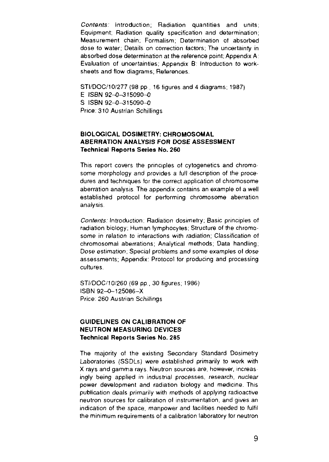Contents: Introduction; Radiation quantities and units; Equipment; Radiation quality specification and determination; Measurement chain; Formalism; Determination of absorbed dose to water; Details on correction factors; The uncertainty in absorbed dose determination at the reference point; Appendix A; Evaluation of uncertainties; Appendix B: Introduction to worksheets and flow diagrams; References.

STI/DOC/10/277 (98 pp., 16 figures and 4 diagrams; 1987). E ISBN 92-0-315090-0 S ISBN 92-0-315090-0 Price. 310 Austrian Schillings

#### **BIOLOGICAL DOSIMETRY: CHROMOSOMAL ABERRATION ANALYSIS FOR DOSE ASSESSMENT Technical Reports Series No. 260**

This report covers the principles of cytogenetics and chromo some morphology and provides a full description of the procedures and techniques for the correct application of chromosome aberration analysis The appendix contains an example of a well established protocol for performing chromosome aberration analysis

Contents: Introduction; Radiation dosimetry, Basic principles of radiation biology; Human lymphocytes; Structure of the chromosome in relation to interactions with radiation; Classification of chromosomal aberrations; Analytical methods; Data handling; Dose estimation; Special problems and some examples of dose assessments; Appendix; Protocol for producing and processing cultures

STI/DOC/10/260 (69 pp., 30 figures, 1986) ISBN 92-0-125086-X Price; 260 Austrian Schillings

#### **GUIDELINES ON CALIBRATION OF NEUTRON MEASURING DEVICES Technical Reports Series No. 285**

The majority of the existing Secondary Standard Dosimetry Laboratories (SSDLs) were established primarily to work with X rays and gamma rays. Neutron sources are, however, increas ingly being applied in industrial processes, research, nuclear power development and radiation biology and medicine. This publication deals primarily with methods of applying radioactive neutron sources for calibration of instrumentation, and gives an indication of the space, manpower and facilities needed to fulfil the minimum requirements of a calibration laboratory for neutron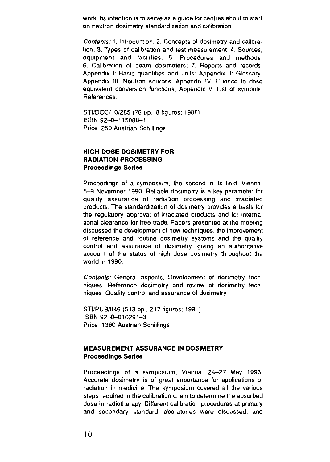work. Its intention is to serve as a guide for centres about to start on neutron dosimetry standardization and calibration

Contents: 1. Introduction; 2. Concepts of dosimetry and calibra tion: 3. Types of calibration and test measurement; 4. Sources, equipment and facilities; 5. Procedures and methods; 6. Calibration of beam dosimeters; 7. Reports and records; Appendix I: Basic quantities and units; Appendix II: Glossary; Appendix III; Neutron sources; Appendix IV; Fluence to dose equivalent conversion functions; Appendix V: List of symbols; References.

STI/DOC/10/285 (76 pp., 8 figures; 1988) ISBN 92-0-115088-1 Price: 250 Austrian Schillings

#### **HIGH DOSE DOSIMETRY FOR RADIATION PROCESSING Proceedings Series**

Proceedings of a symposium, the second in its field, Vienna, 5-9 November 1990. Reliable dosimetry is a key parameter for quality assurance of radiation processing and irradiated products. The standardization of dosimetry provides a basis for the regulatory approval of irradiated products and for international clearance for free trade. Papers presented at the meeting discussed the development of new techniques, the improvement of reference and routine dosimetry systems and the quality control and assurance of dosimetry, giving an authoritative account of the status of high dose dosimetry throughout the world in 1990

Contents: General aspects; Development of dosimetry techniques; Reference dosimetry and review of dosimetry techniques; Quality control and assurance of dosimetry.

STI/PUB/846 (513 pp., 217 figures; 1991) ISBN 92-0-010291-3 Price: 1380 Austrian Schillings

#### **MEASUREMENT ASSURANCE IN DOSIMETRY Proceedings Series**

Proceedings of a symposium, Vienna, 24-27 May 1993. Accurate dosimetry is of great importance for applications of radiation in medicine. The symposium covered all the various steps required in the calibration chain to determine the absorbed dose in radiotherapy. Different calibration procedures at primary and secondary standard laboratories were discussed, and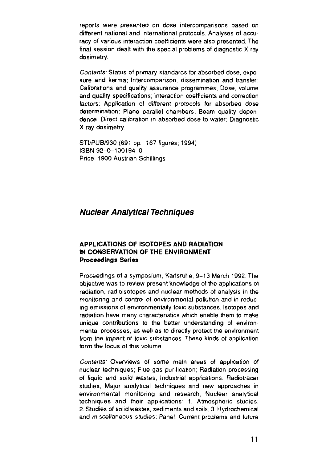reports were presented on dose intercomparisons based on different national and international protocols Analyses of accuracy of various interaction coefficients were also presented. The final session dealt with the special problems of diagnostic X ray dosimetry.

Contents: Status of primary standards tor absorbed dose, exposure and kerma; Intercomparison, dissemination and transfer; Calibrations and quality assurance programmes, Dose, volume and quality specifications; Interaction coefficients and correction factors; Application of different protocols for absorbed dose determination; Plane parallel chambers; Beam quality dependence; Direct calibration in absorbed dose to water; Diagnostic X ray dosimetry.

STI/PUB/930 (691 pp., 167 figures; 1994) ISBN 92-0-100194-0 Price: 1900 Austrian Schillings

### **Nuclear Analytical Techniques**

#### **APPLICATIONS OF ISOTOPES AND RADIATION IN CONSERVATION OF THE ENVIRONMENT Proceedings Series**

Proceedings of a symposium, Karlsruhe, 9-13 March 1992. The objective was to review present knowledge of the applications of radiation, radioisotopes and nuclear methods of analysis in the monitoring and control of environmental pollution and in reducing emissions of environmentally toxic substances. Isotopes and radiation have many characteristics which enable them to make unique contributions to the better understanding of environmental processes, as well as to directly protect the environment from the impact of toxic substances. These kinds of application form the focus of this volume.

Contents: Overviews of some main areas of application of nuclear techniques; Flue gas purification; Radiation processing of liquid and solid wastes; Industrial applications; Radiotracer studies; Major analytical techniques and new approaches in environmental monitoring and research; Nuclear analytical techniques and their applications: 1. Atmospheric studies; 2. Studies of solid wastes, sediments and soils; 3. Hydrochemica! and miscellaneous studies; Panel: Current problems and future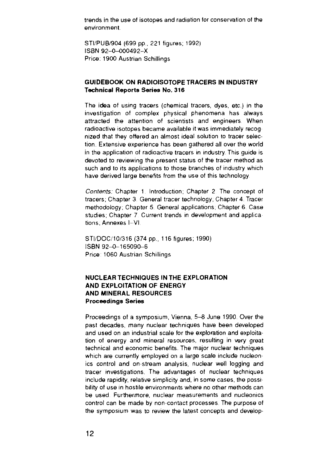trends in the use of isotopes and radiation for conservation of the environment.

STI/PUB/904 (699 pp., 221 figures; 1992) ISBN 92-0-000492-X Price: 1900 Austrian Schillings

#### **GUIDEBOOK ON RADIOISOTOPE TRACERS IN INDUSTRY Technical Reports Series No. 316**

The idea of using tracers (chemical tracers, dyes, etc.) in the investigation of complex physical phenomena has always attracted the attention of scientists and engineers When radioactive isotopes became available it was immediately recog nized that they offered an almost ideal solution to tracer selection. Extensive experience has been gathered all over the world in the application of radioactive tracers in industry. This guide is devoted to reviewing the present status of the tracer method as such and to its applications to those branches of industry which have derived large benefits from the use of this technology

Contents: Chapter 1. Introduction; Chapter 2 The concept of tracers; Chapter 3. General tracer technology, Chapter 4. Tracer methodology; Chapter 5 General applications; Chapter 6 Case studies; Chapter 7. Current trends in development and applica tions; Annexes I—VI.

STI/DOC/10/316 (374 pp., 116 figures; 1990) ISBN 92-0-165090-6 Price: 1060 Austrian Schillings

#### **NUCLEAR TECHNIQUES IN THE EXPLORATION AND EXPLOITATION OF ENERGY AND MINERAL RESOURCES Proceedings Series**

Proceedings of a symposium, Vienna, 5-8 June 1990. Over the past decades, many nuclear techniques have been developed and used on an industrial scale for the exploration and exploitation of energy and mineral resources, resulting in very great technical and economic benefits The major nuclear techniques which are currently employed on a large scale include nucleonics control and on-stream analysis, nuclear well logging and tracer investigations. The advantages of nuclear techniques include rapidity, relative simplicity and, in some cases, the possibility of use in hostile environments where no other methods can be used Furthermore, nuclear measurements and nucleonics control can be made by non-contact processes The purpose of the symposium was to review the latest concepts and develop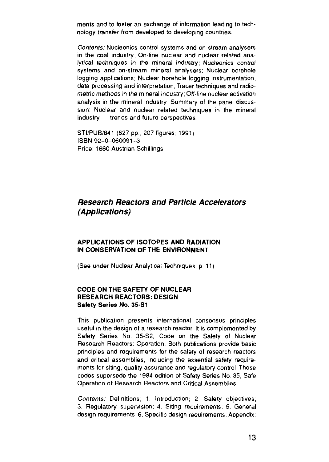ments and to foster an exchange of information leading to technology transfer from developed to developing countries.

Contents: Nucleonics control systems and on-stream analysers in the coal industry; On-line nuclear and nuclear related analytical techniques in the mineral industry; Nucleonics control systems and on-stream mineral analysers; Nuclear borehole logging applications; Nuclear borehole logging instrumentation, data processing and interpretation; Tracer techniques and radiometric methods in the mineral industry; Off-line nuclear activation analysis in the mineral industry; Summary of the panel discussion: Nuclear and nuclear related techniques in the mineral industry — trends and future perspectives

STI/PUB/841 (627 pp., 207 figures; 1991) ISBN 92-0-060091-3 Price: 1660 Austrian Schillings

### **Research Reactors and Particle Accelerators (Applications)**

#### **APPLICATIONS OF ISOTOPES AND RADIATION IN CONSERVATION OF THE ENVIRONMENT**

(See under Nuclear Analytical Techniques, p. 11)

#### **CODE ON THE SAFETY OF NUCLEAR RESEARCH REACTORS: DESIGN Safety Series No. 35-S1**

This publication presents international consensus principles useful in the design of a research reactor It is complemented by Safety Series No. 35-S2, Code on the Safety of Nuclear Research Reactors: Operation. Both publications provide basic principles and requirements for the safety of research reactors and critical assemblies, including the essential safety requirements for siting, quality assurance and regulatory control These codes supersede the 1984 edition of Safety Series No 35, Safe Operation of Research Reactors and Critical Assemblies

Contents: Definitions; 1. Introduction; 2. Safety objectives; 3. Regulatory supervision; 4. Siting requirements; 5. General design requirements; 6. Specific design requirements; Appendix: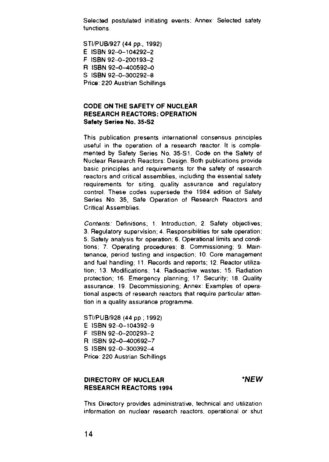Selected postulated initiating events: Annex; Selected safety functions

STI/PUB/927 (44 pp., 1992) E ISBN 92-0-104292-2 F ISBN 92-0-200193-2 R ISBN 92-O-400592-0 S ISBN 92-0-300292-8 Price: 220 Austrian Schillings

#### **CODE ON THE SAFETY OF NUCLEAR RESEARCH REACTORS: OPERATION Safety Series No.** 3S-S2

This publication presents international consensus principles useful in the operation of a research reactor. It is complemented by Safety Series No. 35-S1, Code on the Safety of Nuclear Research Reactors: Design. Both publications provide basic principles and requirements for the safety of research reactors and critical assemblies, including the essential safety requirements for siting, quality assurance and regulatory control These codes supersede the 1984 edition of Safety Series No. 35, Safe Operation of Research Reactors and Critical Assemblies.

Contents: Definitions; 1. Introduction; 2. Safety objectives; 3. Regulatory supervision; 4. Responsibilities for safe operation; 5. Safety analysis for operation; 6. Operational limits and conditions; 7. Operating procedures; 8. Commissioning; 9. Maintenance, period testing and inspection; 10. Core management and fuel handling; 11. Records and reports; 12. Reactor utilization; 13 Modifications, 14. Radioactive wastes; 15. Radiation protection; 16 Emergency planning; 17 Security; 18. Quality assurance; 19. Decommissioning; Annex: Examples of operational aspects of research reactors that require particular attention in a quality assurance programme.

STI/PUB/928 (44 pp.; 1992) E ISBN 92-0-104392-9 F ISBN 92-0-200293-2 R ISBN 92-0-400692-7 S ISBN 92-0-300392-4 Price: 220 Austrian Schillings

#### **DIRECTORY OF NUCLEAR \*NEW RESEARCH REACTORS 1994**

This Directory provides administrative, technical and utilization information on nuclear research reactors, operational or shut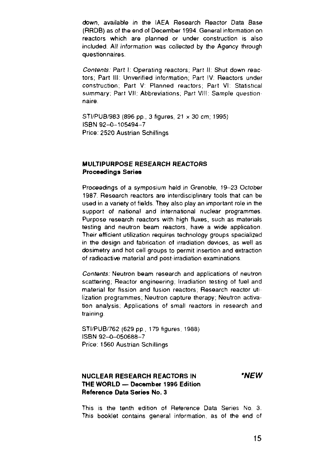down, available in the IAEA Research Reactor Data Base (RRDB) as of the end of December 1994. General information on reactors which are planned or under construction is also included. All information was collected by the Agency through questionnaires.

Contents: Part I: Operating reactors: Part II: Shut down reactors; Part III: Unverified information; Part IV: Reactors under construction; Part V: Planned reactors; Part VI: Statistical summary; Part VII: Abbreviations; Part VIII: Sample questionnaire

STI/PUB/983 (896 pp., 3 figures, 21 x 30 cm; 1995) ISBN 92-0-105494-7 Price: 2520 Austrian Schillings

#### **MULTIPURPOSE RESEARCH REACTORS Proceedings Series**

Proceedings of a symposium held in Grenoble, 19-23 October 1987. Research reactors are interdisciplinary tools that can be used in a variety of fields. They also play an important role in the support of national and international nuclear programmes. Purpose research reactors with high fluxes, such as materials testing and neutron beam reactors, have a wide application Their efficient utilization requires technology groups specialized in the design and fabrication of irradiation devices, as well as dosimetry and hot cell groups to permit insertion and extraction of radioactive material and post-irradiation examinations

Contents: Neutron beam research and applications of neutron scattering; Reactor engineering; Irradiation testing of fuel and material for fission and fusion reactors; Research reactor utilization programmes; Neutron capture therapy; Neutron activation analysis; Applications of small reactors in research and training

STI/PUB/762 (629 pp., 179 figures, 1988) ISBN 92-0-050688-7 Price: 1560 Austrian Schillings

#### **NUCLEAR RESEARCH REACTORS IN 'NEW THE WORLD — December 1996 Edition Reference Data Series No. 3**

This is the tenth edition of Reference Data Series No 3. This booklet contains general information, as of the end of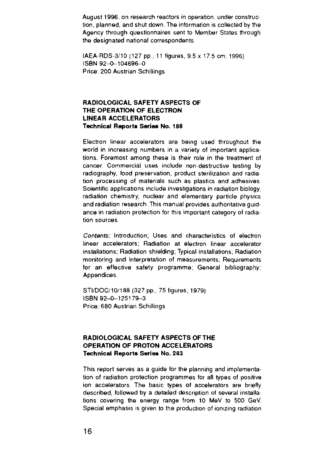August 1996, on research reactors in operation, under construction, planned, and shut down The information is collected by the Agency through questionnaires sent to Member States through the designated national correspondents

IAEA-RDS-3/10 (127 pp , 11 figures, 9.5 x 17.5 cm; 1996) ISBN 92-0-104696-0 Price. 200 Austrian Schillings

#### **RADIOLOGICAL SAFETY ASPECTS OF THE OPERATION OF ELECTRON LINEAR ACCELERATORS Technical Reports Series No. 188**

Electron linear accelerators are being used throughout the world in increasing numbers in a variety of important applications. Foremost among these is their role in the treatment of cancer. Commercial uses include non-destructive testing by radiography, food preservation, product sterilization and radiation processing of materials such as plastics and adhesives Scientific applications include investigations in radiation biology, radiation chemistry, nuclear and elementary particle physics and radiation research. This manual provides authoritative guidance in radiation protection for this important category of radiation sources

Contents: Introduction, Uses and characteristics of electron linear accelerators; Radiation at electron linear accelerator installations; Radiation shielding; Typical installations; Radiation monitoring and interpretation of measurements, Requirements for an effective safety programme; General bibliography; **Appendices** 

STI/DOC/10/188 (327 pp., 75 figures; 1979) ISBN 92-0-125179-3 Price. 680 Austrian Schillings

#### **RADIOLOGICAL SAFETY ASPECTS OF THE OPERATION OF PROTON ACCELERATORS Technical Reports Series No. 2S3**

This report serves as a guide for the planning and implementation of radiation protection programmes for all types of positive ion accelerators. The basic types of accelerators are briefly described, followed by a detailed description of several installations covering the energy range from 10 MeV to 500 GeV. Special emphasis is given to the production of ionizing radiation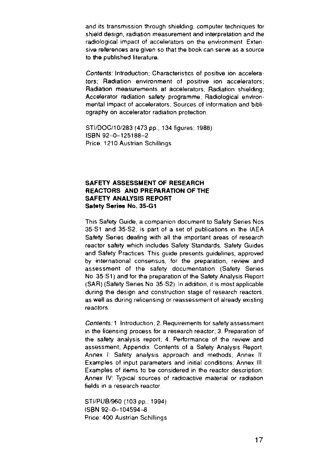and its transmission through shielding, computer techniques for shield design, radiation measurement and interpretation and the radiological impact of accelerators on the environment Extensive references are given so that the book can serve as a source to the published literature.

Contents: Introduction; Characteristics of positive ion accelerators; Radiation environment of positive ion accelerators; Radiation measurements at accelerators; Radiation shielding: Accelerator radiation safety programme; Radiological environmental impact of accelerators; Sources of information and bibliography on accelerator radiation protection.

STI/DOC/10/283 (473 pp., 134 figures; 1988) ISBN 92-0-125188-2 Price: 1210 Austrian Schillings

#### **SAFETY ASSESSMENT OF RESEARCH REACTORS AND PREPARATION OF THE SAFETY ANALYSIS REPORT Safety Series No. 35-G1**

This Safety Guide, a companion document to Safety Series Nos 35-S1 and 35-S2, is part of a set of publications in the IAEA Safety Series dealing with all the important areas of research reactor safety which includes Safety Standards, Safety Guides and Safety Practices This guide presents guidelines, approved by international consensus, for the preparation, review and assessment of the safety documentation (Safety Series No 35-S1) and for the preparation of the Safety Analysis Report (SAR) (Safety Series No. 35-S2). In addition, it is most applicable during the design and construction stage of research reactors, as well as during relicensing or reassessment of already existing reactors.

Contents: 1 Introduction; 2. Requirements for safety assessment in the licensing process for a research reactor; 3 Preparation of the safety analysis report, 4 Performance of the review and assessment; Appendix: Contents of a Safety Analysis Report; Annex I: Safety analysis approach and methods; Annex II: Examples of input parameters and initial conditions; Annex III: Examples of items to be considered in the reactor description; Annex IV: Typical sources of radioactive material or radiation fields in a research reactor

STI/PUB/960 (103 pp.; 1994) ISBN 92-0-104594-8 Price: 400 Austrian Schillings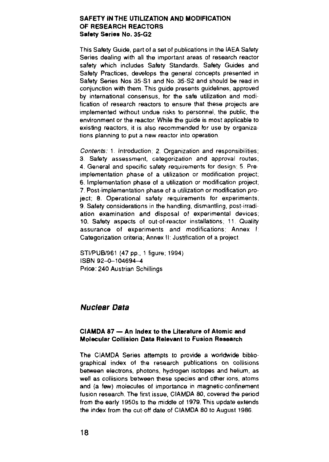#### **SAFETY IN THE UTILIZATION AND MODIFICATION OF RESEARCH REACTORS Safety Series No. 35-G2**

This Safety Guide, part of a set of publications in the IAEA Safety Series dealing with all the important areas of research reactor safety which includes Safety Standards, Safety Guides and Safety Practices, develops the general concepts presented in Safety Series Nos 35-S1 and No. 35-S2 and should be read in conjunction with them. This guide presents guidelines, approved by international consensus, for the safe utilization and modification of research reactors to ensure that these projects are implemented without undue risks to personnel, the public, the environment or the reactor. While the guide is most applicable to existing reactors, it is also recommended for use by organizations planning to put a new reactor into operation

Contents: 1. Introduction; 2. Organization and responsibilities; 3 Safety assessment, categorization and approval routes; 4. General and specific safety requirements for design, 5 Pre implementation phase of a utilization or modification project, 6. Implementation phase of a utilization or modification project, 7. Post-implementation phase of a utilization or modification project; 8. Operational safety requirements for experiments; 9. Safety considerations in the handling, dismantling, post-irradiation examination and disposal of experimental devices; 10. Safety aspects of out-of-reactor installations; 11. Quality assurance of experiments and modifications; Annex I; Categorization criteria: Annex II. Justification of a project.

STI/PUB/961 (47 pp., 1 figure; 1994) ISBN 92-0-104694-4 Price: 240 Austrian Schillings

#### Nuclear Data

#### **CIAMDA 87 — An Index to the Literature of Atomic and Molecular Collision Data Relevant to Fusion Research**

The CIAMDA Series attempts to provide a worldwide bibliographical index of the research publications on collisions between electrons, photons, hydrogen isotopes and helium, as well as collisions between these species and other ions, atoms and (a few) molecules of importance in magnetic-confinement fusion research. The first issue, CIAMDA 80, covered the period from the early 1950s to the middle of 1979. This update extends the index from the cut-off date of CIAMDA 80 to August 1986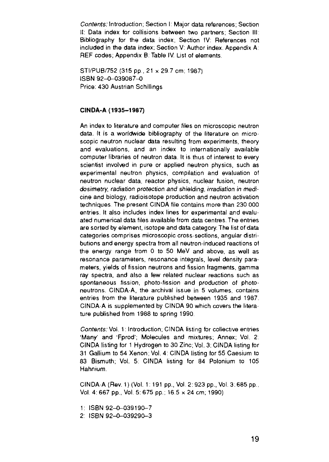Contents: Introduction; Section I: Major data references; Section II: Data index for collisions between two partners; Section III; Bibliography for the data index, Section IV: References not included in the data index; Section V: Author index. Appendix A: REF codes; Appendix B: Table IV. List of elements.

STI/PUB/752 (315 pp., 21 x 29.7 cm; 1987) ISBN 92-0-039087-0 Price: 430 Austrian Schillings

#### **CINDA-A (1935-1987)**

An index to literature and computer files on microscopic neutron data. It is a worldwide bibliography of the literature on microscopic neutron nuclear data resulting from experiments, theory and evaluations, and an index to internationally available computer libraries of neutron data. It is thus of interest to every scientist involved in pure or applied neutron physics, such as experimental neutron physics, compilation and evaluation of neutron nuclear data, reactor physics, nuclear fusion, neutron dosimetry, radiation protection and shielding, irradiation in medicine and biology, radioisotope production and neutron activation techniques The present CINDA file contains more than 230 000 entries. It also includes index lines for experimental and evaluated numerical data files available from data centres. The entries are sorted by element, isotope and data category. The list of data categories comprises microscopic cross-sections, angular distributions and energy spectra from all neutron-induced reactions of the energy range from 0 to 50 MeV and above, as well as resonance parameters, resonance integrals, level density parameters, yields of fission neutrons and fission fragments, gamma ray spectra, and also a few related nuclear reactions such as spontaneous fission, photo-fission and production of photoneutrons. CINDA-A, the archival issue in 5 volumes, contains entries from the literature published between 1935 and 1987. CINDA-A is supplemented by CINDA 90 which covers the literature published from 1988 to spring 1990

Contents: Vol. 1: Introduction; CINDA listing for collective entries 'Many' and 'Fprod'; Molecules and mixtures; Annex; Vol. 2: CINDA listing for 1 Hydrogen to 30 Zinc; Vol. 3: CINDA listing for 31 Gallium to 54 Xenon; Vol. 4: CINDA listing for 55 Caesium to 83 Bismuth; Vol. 5: CINDA listing for 84 Polonium to 105 Hahnium.

CINDA-A (Rev. 1)(Vol. 1: 191 pp., Vol. 2: 923 pp., Vol 3:685 pp, Vol. 4: 667 pp., Vol. 5: 675 pp.; 16.5 x 24 cm; 1990)

1: ISBN 92-O-O39190-7

2: ISBN 92-0-039290-3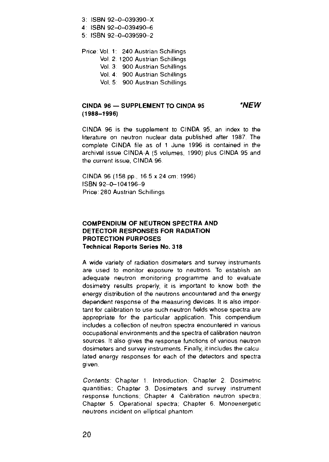- 3: ISBN 92-O-039390-X
- 4 ISBN 92-0-039490-6
- 5: ISBN 92-0-039590-2

Price: Vol 1: 240 Austrian Schillings

- Vol. 2: 1200 Austrian Schillings
- Vol. 3: 900 Austrian Schillings
- Vol. 4: 900 Austrian Schillings
- Vol. 5: 900 Austrian Schillings

#### **CINDA 96 — SUPPLEMENT TO CINDA 95 'NEW (1988-1996)**

CINDA 96 is the supplement to CINDA 95, an index to the literature on neutron nuclear data published after 1987. The complete CINDA file as of 1 June 1996 is contained in the archival issue CINDA-A (5 volumes, 1990) plus CINDA 95 and the current issue, CINDA 96

CINDA 96 (158 pp., 16 5 x 24 cm; 1996) ISBN 92-0-104196-9 Price: 280 Austrian Schillings

#### **COMPENDIUM OF NEUTRON SPECTRA AND DETECTOR RESPONSES FOR RADIATION PROTECTION PURPOSES Technical Reports Series No. 318**

A wide variety of radiation dosimeters and survey instruments are used to monitor exposure to neutrons. To establish an adequate neutron monitoring programme and to evaluate dosimetry results properly, it is important to know both the energy distribution of the neutrons encountered and the energy dependent response of the measuring devices. It is also impor tant for calibration to use such neutron fields whose spectra are appropriate for the particular application. This compendium includes a collection of neutron spectra encountered in various occupational environments and the spectra of calibration neutron sources. It also gives the response functions of various neutron dosimeters and survey instruments. Finally, it includes the calcu lated energy responses for each of the detectors and spectra given.

Contents: Chapter 1. Introduction; Chapter 2. Dosimetric quantities; Chapter 3. Dosimeters and survey instrument response functions; Chapter 4 Calibration neutron spectra; Chapter 5 Operational spectra; Chapter 6. Monoenergetic neutrons incident on elliptical phantom.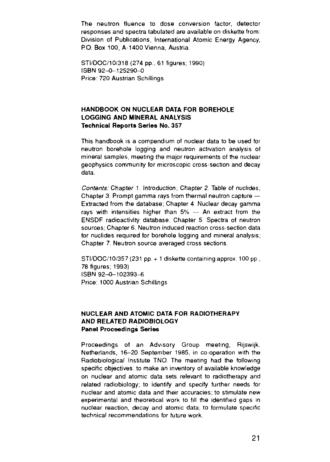The neutron fluence to dose conversion factor, detector responses and spectra tabulated are available on diskette from: Division of Publications, International Atomic Energy Agency, P.O. Box 100, A-1400 Vienna, Austria.

STI/DOC/10/318 (274 pp., 61 figures; 1990) ISBN 92-0-125290-0 Price: 720 Austrian Schillings

#### **HANDBOOK ON NUCLEAR DATA FOR BOREHOLE LOGGING AND MINERAL ANALYSIS Technical Reports Series No. 357**

This handbook is a compendium of nuclear data to be used for neutron borehole logging and neutron activation analysis of mineral samples, meeting the major requirements of the nuclear geophysics community for microscopic cross-section and decay data.

Contents: Chapter 1. Introduction: Chapter 2 Table of nuclides: Chapter 3. Prompt gamma rays from thermal neutron capture — Extracted from the database; Chapter 4 Nuclear decay gamma rays with intensities higher than 5% — An extract from the ENSDF radioactivity database; Chapter 5 Spectra of neutron sources: Chapter 6. Neutron induced reaction cross-section data for nuclides required for borehole logging and mineral analysis; Chapter 7. Neutron source averaged cross sections

 $STI/DOC/10/357(231 pp + 1$  diskette containing approx,  $100 pp$ , 78 figures; 1993) ISBN 92-0-102393-6 Price. 1000 Austrian Schillings

#### **NUCLEAR AND ATOMIC DATA FOR RADIOTHERAPY AND RELATED RADIOBIOLOGY Panel Proceedings Series**

Proceedings of an Advisory Group meeting, Rijswijk, Netherlands, 16-20 September 1985, in co-operation with the Radiobiological Institute TNO The meeting had the following specific objectives: to make an inventory of available knowledge on nuclear and atomic data sets relevant to radiotherapy and related radiobiology; to identify and specify further needs for nuclear and atomic data and their accuracies; to stimulate new experimental and theoretical work to fill the identified gaps in nuclear reaction, decay and atomic data; to formulate specific technical recommendations for future work.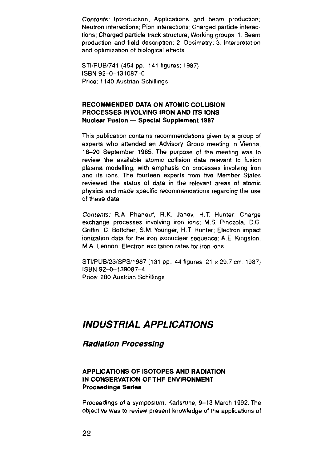Contents: Introduction; Applications and beam production, Neutron interactions; Pion interactions; Charged particle interactions; Charged particle track structure; Working groups: 1. Beam production and field description; 2 Dosimetry; 3 Interpretation and optimization of biological effects.

STI/PUB/741 (454 pp., 141 figures; 1987) ISBN 92-0-131087-0 Price: 1140 Austrian Schillings

#### **RECOMMENDED DATA ON ATOMIC COLLISION PROCESSES INVOLVING IRON AND ITS IONS Nuclear Fusion — Special Supplement 1987**

This publication contains recommendations given by a group of experts who attended an Advisory Group meeting in Vienna, 18-20 September 1985. The purpose of the meeting was to review the available atomic collision data relevant to fusion plasma modelling, with emphasis on processes involving iron and its ions. The fourteen experts from five Member States reviewed the status of data in the relevant areas of atomic physics and made specific recommendations regarding the use of these data.

Contents: R.A Phaneuf, R.K. Janev, H.T. Hunter: Charge exchange processes involving iron ions; M.S. Pindzola, D.C. Griffin, C. Bottcher, S.M. Younger, H.T. Hunter: Electron impact ionization data for the iron isonuclear sequence, A E Kingston, MA. Lennon: Electron excitation rates for iron ions.

STI/PUB/23/SPS/1987 (131 pp., 44 figures, 21 x 29.7 cm; 1987) ISBN 92-0-139087-4 Price: 280 Austrian Schillings

## **INDUSTRIAL APPLICATIONS**

#### **Radiation Processing**

#### **APPLICATIONS OF ISOTOPES AND RADIATION IN CONSERVATION OF THE ENVIRONMENT Proceedings Series**

Proceedings of a symposium, Karlsruhe, 9-13 March 1992. The objective was to review present knowledge of the applications of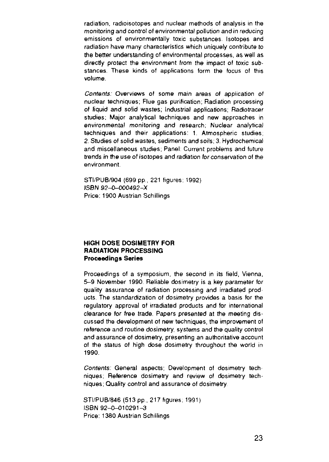radiation, radioisotopes and nuclear methods of analysis in the monitoring and control of environmental pollution and in reducing emissions of environmentally toxic substances. Isotopes and radiation have many characteristics which uniquely contribute to the better understanding of environmental processes, as well as directly protect the environment from the impact of toxic substances. These kinds of applications form the focus of this volume.

Contents: Overviews of some main areas of application of nuclear techniques; Flue gas purification, Radiation processing of liquid and solid wastes; Industrial applications; Radiotracer studies: Major analytical techniques and new approaches in environmental monitoring and research; Nuclear analytical techniques and their applications: 1. Atmospheric studies; 2. Studies of solid wastes, sediments and soils; 3. Hydrochemical and miscellaneous studies; Panel: Current problems and future trends in the use of isotopes and radiation for conservation of the environment.

STI/PUB/904 (699 pp., 221 figures; 1992). ISBN 92-0-O00492-X Price: 1900 Austrian Schillings

#### **HIGH DOSE DOSIMETRY FOR RADIATION PROCESSING Proceedings Series**

Proceedings of a symposium, the second in its field, Vienna, 5-9 November 1990. Reliable dosimetry is a key parameter for quality assurance of radiation processing and irradiated prod ucts. The standardization of dosimetry provides a basis for the regulatory approval of irradiated products and for international clearance for free trade. Papers presented at the meeting discussed the development of new techniques, the improvement of reference and routine dosimetry, systems and the quality control and assurance of dosimetry, presenting an authoritative account of the status of high dose dosimetry throughout the world in 1990.

Contents: General aspects; Development of dosimetry techniques; Reference dosimetry and review of dosimetry techniques; Quality control and assurance of dosimetry

STI/PUB/846 (513 pp., 217 figures; 1991) ISBN 92-0-010291-3 Price: 1380 Austrian Schillings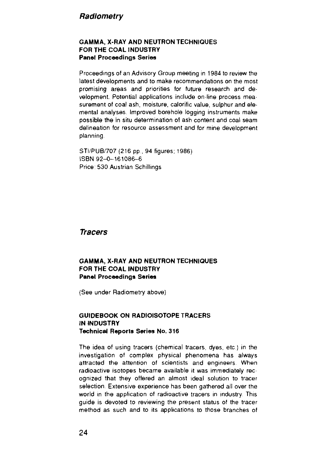#### **Radiornetry**

#### **GAMMA, X-RAY AND NEUTRON TECHNIQUES FOR THE COAL INDUSTRY Panel Proceedings Series**

Proceedings of an Advisory Group meeting in 1984 to review the latest developments and to make recommendations on the most promising areas and priorities for future research and development. Potential applications include on-line process measurement of coal ash, moisture, calorific value, sulphur and elemental analyses Improved borehole logging instruments make possible the in situ determination of ash content and coal seam delineation for resource assessment and for mine development planning

STI/PUB/707 (216 pp., 94 figures; 1986) ISBN 92-0-161086-6 Price: 530 Austrian Schillings

**Tracers**

#### **GAMMA, X-RAY AND NEUTRON TECHNIQUES FOR THE COAL INDUSTRY Panel Proceedings Series**

(See under Radiometry above)

#### **GUIDEBOOK ON RADIOISOTOPE TRACERS IN INDUSTRY Technical Reports Series No. 316**

The idea of using tracers (chemical tracers, dyes, etc) in the investigation of complex physical phenomena has always attracted the attention of scientists and engineers When radioactive isotopes became available it was immediately recognized that they offered an almost ideal solution to tracer selection. Extensive experience has been gathered all over the world in the application of radioactive tracers in industry This guide is devoted to reviewing the present status of the tracer method as such and to its applications to those branches of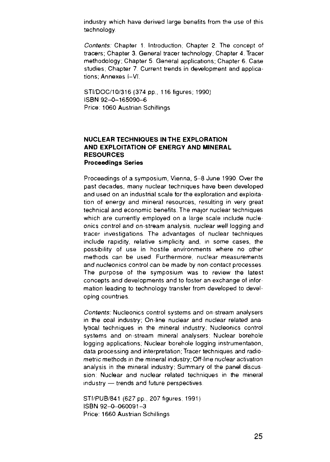industry which have derived large benefits from the use of this technology

Contents: Chapter 1. Introduction; Chapter 2 The concept of tracers; Chapter 3. General tracer technology; Chapter 4. Tracer methodology; Chapter 5 General applications; Chapter 6. Case studies; Chapter 7. Current trends in development and applications; Annexes t—VI.

STI/DOC/10/316 (374 pp., 116 figures; 1990) ISBN 92-0-165090-6 Price: 1060 Austrian Schillings

#### **NUCLEAR TECHNIQUES IN THE EXPLORATION AND EXPLOITATION OF ENERGY AND MINERAL RESOURCES Proceedings Series**

Proceedings of a symposium, Vienna, 5-8 June 1990 Over the past decades, many nuclear techniques have been developed and used on an industrial scale for the exploration and exploitation of energy and mineral resources, resulting in very great technical and economic benefits. The major nuclear techniques which are currently employed on a large scale include nucleonics control and on-stream analysis, nuclear well logging and tracer investigations The advantages of nuclear techniques include rapidity, relative simplicity and, in some cases, the possibility of use in hostile environments where no other methods can be used Furthermore, nuclear measurements and nucleonics control can be made by non-contact processes The purpose of the symposium was to review the latest concepts and developments and to foster an exchange of information leading to technology transfer from developed to developing countries.

Contents: Nucleonics control systems and on-stream analysers in the coal industry; On-line nuclear and nuclear related analytical techniques in the mineral industry; Nucleonics control systems and on-stream mineral analysers; Nuclear borehole logging applications; Nuclear borehole logging instrumentation, data processing and interpretation; Tracer techniques and radiometric methods in the mineral industry; Off-line nuclear activation analysis in the mineral industry; Summary of the panel discus sion: Nuclear and nuclear related techniques in the mineral industry — trends and future perspectives

STI/PUB/841 (627 pp., 207 figures; 1991) ISBN 92-0-060091-3 Price: 1660 Austrian Schillings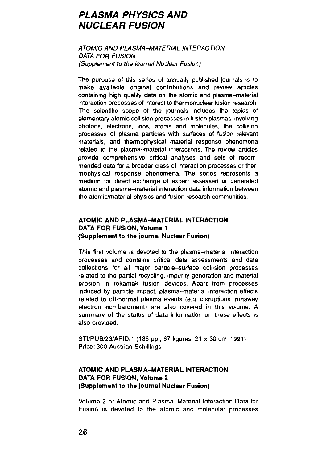## **PLASMA PHYSICS AND NUCLEAR FUSION**

#### ATOMIC AND PLASMA-MATERIAL INTERACTION DATA FOR FUSION (Supplement to the journal Nuclear Fusion)

The purpose of this series of annually published journals is to make available original contributions and review articles containing high quality data on the atomic and plasma-material interaction processes of interest to thermonuclear fusion research. The scientific scope of the journals includes the topics of elementary atomic collision processes in fusion plasmas, involving photons, electrons, ions, atoms and molecules, the collision processes of plasma particles with surfaces of fusion relevant materials, and thermophysical material response phenomena related to the plasma-material interactions. The review articles provide comprehensive critical analyses and sets of recommended data for a broader class of interaction processes or thermophysical response phenomena. The series represents a medium for direct exchange of expert assessed or generated atomic and plasma-material interaction data information between the atomic/material physics and fusion research communities.

#### **ATOMIC AND PLASMA-MATERIAL INTERACTION DATA FOR FUSION, Volume 1 (Supplement to the journal Nuclear Fusion)**

This first volume is devoted to the plasma-material interaction processes and contains critical data assessments and data collections for all major particle-surface collision processes related to the partial recycling, impurity generation and material erosion in tokamak fusion devices. Apart from processes induced by particle impact, plasma-material interaction effects related to off-normal plasma events (e.g. disruptions, runaway electron bombardment) are also covered in this volume. A summary of the status of data information on these effects is also provided.

STI/PUB/23/APID/1 (138 pp., 87 figures, 21 x 30 cm; 1991) Price: 300 Austrian Schillings

#### **ATOMIC AND PLASMA-MATERIAL INTERACTION DATA FOR FUSION, Volume 2 (Supplement to the journal Nuclear Fusion)**

Volume 2 of Atomic and Plasma-Material Interaction Data for Fusion is devoted to the atomic and molecular processes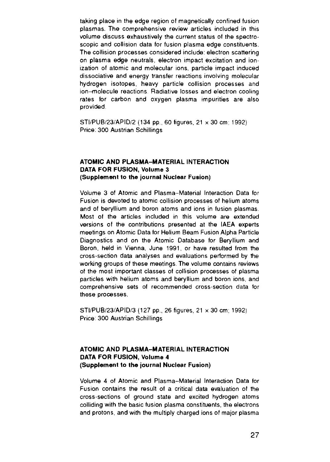taking place in the edge region of magnetically confined fusion plasmas. The comprehensive review articles included in this volume discuss exhaustively the current status of the spectroscopic and collision data for fusion plasma edge constituents. The collision processes considered include: electron scattering on plasma edge neutrals, electron impact excitation and ionization of atomic and molecular ions, particle impact induced dissociative and energy transfer reactions involving molecular hydrogen isotopes, heavy particle collision processes and ion-molecule reactions Radiative losses and electron cooling rates for carbon and oxygen plasma impurities are also provided.

STI/PUB/23/APID/2 (134 pp., 60 figures, 21 x 30 cm; 1992) Price: 300 Austrian Schillings

#### **ATOMIC AND PLASMA-MATERIAL INTERACTION DATA FOR FUSION, Volume 3 (Supplement to the journal Nuclear Fusion)**

Volume 3 of Atomic and Plasma-Material Interaction Data tor Fusion is devoted to atomic collision processes of helium atoms and of beryllium and boron atoms and ions in fusion plasmas Most of the articles included in this volume are extended versions of the contributions presented at the IAEA experts meetings on Atomic Data for Helium Beam Fusion Alpha Particle Diagnostics and on the Atomic Database for Beryllium and Boron, held in Vienna, June 1991, or have resulted from the cross-section data analyses and evaluations performed by the working groups of these meetings. The volume contains reviews of the most important classes of collision processes of plasma particles with helium atoms and beryllium and boron ions, and comprehensive sets of recommended cross-section data tor these processes.

STI/PUB/23/APID/3 (127 pp., 26 figures, 21 x 30 cm: 1992) Price: 300 Austrian Schillings

#### **ATOMIC AND PLASMA-MATERIAL INTERACTION DATA FOR FUSION, Volume 4 (Supplement to the journal Nuclear Fusion)**

Volume 4 of Atomic and Plasma-Material Interaction Data for Fusion contains the result of a critical data evaluation of the cross-sections of ground state and excited hydrogen atoms colliding with the basic fusion plasma constituents, the electrons and protons, and with the multiply charged ions of major plasma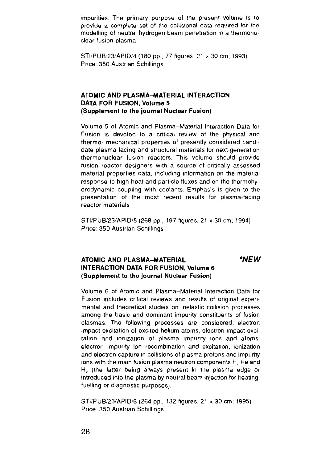impurities The primary purpose of the present volume is to provide a complete set of the collisional data required for the modelling of neutral hydrogen beam penetration in a thermonuclear fusion plasma

STI/PUB/23/APID/4 (180 pp., 77 figures, 21 x 30 cm; 1993) Price: 350 Austrian Schillings

#### **ATOMIC AND PLASMA-MATERIAL INTERACTION DATA FOR FUSION, Volume 5 (Supplement to the journal Nuclear Fusion)**

Volume 5 of Atomic and Plasma-Material Interaction Data for Fusion is devoted to a critical review of the physical and thermo- mechanical properties of presently considered candidate plasma-facing and structural materials for next-generation thermonuclear fusion reactors This volume should provide fusion reactor designers with a source of critically assessed material properties data, including information on the material response to high heat and particle fluxes and on the thermohydrodynamic coupling with coolants Emphasis is given to the presentation of the most recent results for plasma-facing reactor materials

STI/PUB/23/APID/5 (268 pp., 197 figures, 21 x 30 cm; 1994) Price: 350 Austrian Schillings

#### **ATOMIC AND PLASMA-MATERIAL 'NEW INTERACTION DATA FOR FUSION, Volume 6 (Supplement to the journal Nuclear Fusion)**

Volume 6 of Atomic and Plasma-Material Interaction Data for Fusion includes critical reviews and results of original experimental and theoretical studies on inelastic collision processes among the basic and dominant impurity constituents of fusion plasmas. The following processes are considered electron impact excitation of excited helium atoms, electron impact excitation and ionization of plasma impurity ions and atoms, electron-impurity-ion recombination and excitation, ionization and electron capture in collisions of plasma protons and impurity ions with the main fusion plasma neutron components H, He and H<sub>2</sub> (the latter being always present in the plasma edge or introduced into the plasma by neutral beam injection for heating, fuelling or diagnostic purposes).

STI/PUB/23/APID/6 (264 pp., 132 figures, 21 x 30 cm; 1995) Price: 350 Austrian Schillings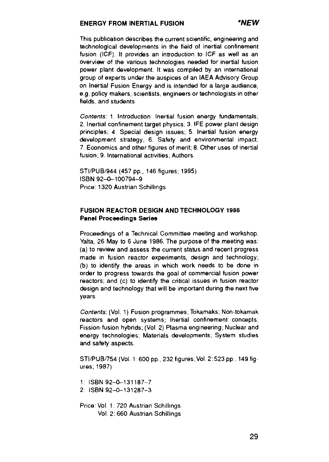#### **ENERGY FROM INERTIAL FUSION 'NEW**

This publication describes the current scientific, engineering and technological developments in the field of inertial confinement fusion (ICF). It provides an introduction to ICF as well as an overview of the various technologies needed for inertial fusion power plant development. It was compiled by an international group of experts under the auspices of an IAEA Advisory Group on Inertial Fusion Energy and is intended for a large audience, e.g. policy makers, scientists, engineers or technologists in other fields, and students

Contents: 1. Introduction: Inertial fusion energy fundamentals; 2. Inertial confinement target physics; 3 IFE power plant design principles; 4. Special design issues; 5. Inertial fusion energy development strategy; 6. Safety and environmental impact; 7. Economics and other figures of merit; 8. Other uses of inertial fusion; 9. International activities; Authors.

STI/PUB/944 (457 pp., 146 figures; 1995) ISBN 92-0-100794-9 Price: 1320 Austrian Schillings

#### **FUSION REACTOR DESIGN AND TECHNOLOGY 1986 Panel Proceedings Series**

Proceedings of a Technical Committee meeting and workshop, Yalta, 26 May to 6 June 1986. The purpose of the meeting was: (a) to review and assess the current status and recent progress made in fusion reactor experiments, design and technology; (b) to identify the areas in which work needs to be done in order to progress towards the goal of commercial fusion power reactors; and (c) to identify the critical issues in fusion reactor design and technology that will be important during the next five years

Contents: (Vol. 1) Fusion programmes; Tokamaks; Non-tokamak reactors and open systems; Inertial confinement concepts; Fission-fusion hybrids; (Vol 2) Plasma engineering; Nuclear and energy technologies; Materials developments; System studies and safety aspects.

STI/PUB/754 (Vol. 1:600 pp., 232 figures; Vol 2:523 pp, 149 figures; 1987)

1: ISBN 92-0-131187-7 2: ISBN 92-0-131287-3

Price: Vol. 1: 720 Austrian Schillings Vol 2: 660 Austrian Schillings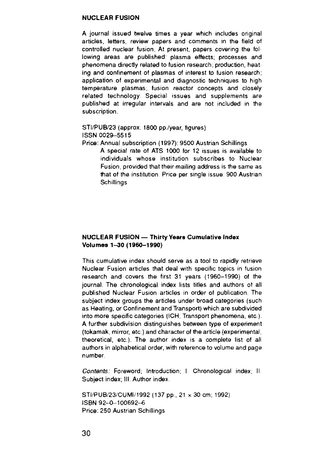#### **NUCLEAR FUSION**

**A** journal issued twelve times a year which includes original articles, letters, review papers and comments in the field of controlled nuclear fusion. At present, papers covering the following areas are published: plasma effects; processes and phenomena directly related to fusion research; production, heat ing and confinement of plasmas of interest to fusion research; application of experimental and diagnostic techniques to high temperature plasmas; fusion reactor concepts and closely related technology. Special issues and supplements are published at irregular intervals and are not included in the subscription.

#### STI/PUB/23 (approx. 1800 pp./year, figures) ISSN 0029-5515

Price: Annual subscription (1997): 9500 Austrian Schillings

A special rate of ATS 1000 for 12 issues is available to individuals whose institution subscribes to Nuclear Fusion, provided that their mailing address is the same as that of the institution Price per single issue: 900 Austrian **Schillings** 

#### **NUCLEAR FUSION — Thirty Years Cumulative Index Volumes 1-30 (1960-1990)**

This cumulative index should serve as a tool to rapidly retrieve Nuclear Fusion articles that deal with specific topics in fusion research and covers the first 31 years (1960-1990) of the journal. The chronological index lists titles and authors of all published Nuclear Fusion articles in order of publication. The subject index groups the articles under broad categories (such as Heating, or Confinement and Transport) which are subdivided into more specific categories (ICH, Transport phenomena, etc.). A further subdivision distinguishes between type of experiment (tokamak, mirror, etc ) and character of the article (experimental, theoretical, etc.). The author index is a complete list of all authors in alphabetical order, with reference to volume and page number.

Contents: Foreword; Introduction; I. Chronological index; II. Subject index; III. Author index.

STI/PUB/23/CUMI/1992 (137 pp., 21 x 30 cm, 1992) ISBN 92-0-100692-6 Price: 250 Austrian Schillings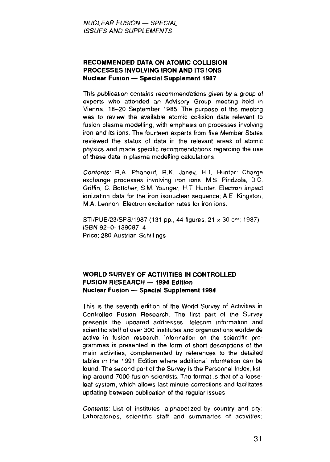#### **RECOMMENDED DATA ON ATOMIC COLLISION PROCESSES INVOLVING IRON AND ITS IONS Nuclear Fusion — Special Supplement 1987**

This publication contains recommendations given by a group of experts who attended an Advisory Group meeting held in Vienna, 18-20 September 1985. The purpose of the meeting was to review the available atomic collision data relevant to fusion plasma modelling, with emphasis on processes involving iron and its ions. The fourteen experts from five Member States reviewed the status of data in the relevant areas of atomic physics and made specific recommendations regarding the use of these data in plasma modelling calculations.

Contents: R.A. Phaneuf, R.K. Janev, H.T. Hunter: Charge exchange processes involving iron ions; M.S. Pindzola, D.C. Griffin, C. Bottcher, S.M. Younger, H.T. Hunter: Electron impact ionization data for the iron isonuclear sequence; A E. Kingston, M.A. Lennon: Electron excitation rates for iron ions.

STI/PUB/23/SPS/1987{131 pp., 44 figures, 21 x 30 cm; 1987) ISBN 92-0-139087-4 Price: 280 Austrian Schillings

#### **WORLD SURVEY OF ACTIVITIES IN CONTROLLED FUSION RESEARCH — 1994 Edition Nuclear Fusion — Special Supplement 1994**

This is the seventh edition of the World Survey of Activities in Controlled Fusion Research. The first part of the Survey presents the updated addresses, telecom information and scientific staff of over 300 institutes and organizations worldwide active in fusion research Information on the scientific programmes is presented in the form of short descriptions of the main activities, complemented by references to the detailed tables in the 1991 Edition where additional information can be found. The second part of the Survey is the Personnel Index, list ing around 7000 fusion scientists. The format is that of a looseleaf system, which allows last minute corrections and facilitates updating between publication of the regular issues

Contents: List of institutes, alphabetized by country and city; Laboratories, scientific staff and summaries of activities;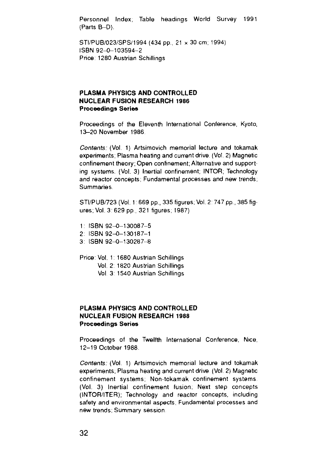Personnel Index; Table headings World Survey 1991 (Parts B-D).

STI/PUB/023/SPS/1994 (434 pp., 21 x 30 cm; 1994) ISBN 92-0-103594-2 Price: 1280 Austrian Schillings

#### **PLASMA PHYSICS AND CONTROLLED NUCLEAR FUSION RESEARCH 1986 Proceedings Series**

Proceedings of the Eleventh International Conference, Kyoto, 13-20 November 1986

Contents: (Vol. 1) Artsimovich memorial lecture and tokamak experiments; Plasma heating and current drive. (Vol. 2) Magnetic confinement theory; Open confinement; Alternative and supporting systems. (Vol. 3) Inertial confinement; INTOR; Technology and reactor concepts; Fundamental processes and new trends; Summaries.

STI/PUB/723 (Vol. 1:669 pp., 335 figures; Vol. 2: 747 pp., 385 figures; Vol. 3:629 pp., 321 figures; 1987)

- 1: ISBN 92-0-130087-5
- 2: ISBN 92-0-130187-1
- 3: ISBN 92-0-130287-8
- Price: Vol. 1: 1680 Austrian Schillings Vol. 2: 1820 Austrian Schillings Vol 3: 1540 Austrian Schillings

#### **PLASMA PHYSICS AND CONTROLLED NUCLEAR FUSION RESEARCH 1988 Proceedings Series**

Proceedings of the Twelfth International Conference. Nice, 12-19 October 1988

Contents: (Vol. 1) Artsimovich memorial lecture and tokamak experiments; Plasma heating and current drive (Vol 2) Magnetic confinement systems; Non-tokamak confinement systems (Vol. 3) Inertial confinement fusion; Next step concepts (INTOR/ITER); Technology and reactor concepts, including safety and environmental aspects; Fundamental processes and new trends; Summary session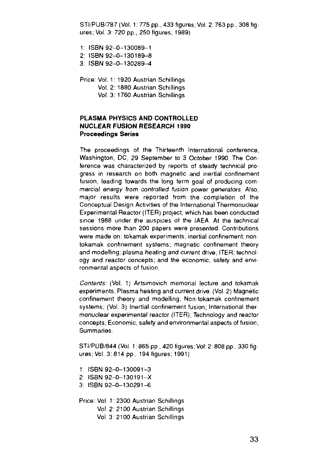STI/PUB/787 (Vol. 1: 775 pp., 433 figures; Vol. 2:763 pp., 308 figures; Vol. 3: 720 pp., 250 figures; 1989)

1: ISBN 92-0-130089-1

- 2: ISBN92-O-130189-8
- 3: ISBN 92-0-130289-4

Price: Vol. 1: 1920 Austrian Schillings Vol. 2: 1880 Austrian Schillings Vol. 3: 1760 Austrian Schillings

#### **PLASMA PHYSICS AND CONTROLLED NUCLEAR FUSION RESEARCH 1990 Proceedings Series**

The proceedings of the Thirteenth International conference, Washington, DC, 29 September to 3 October 1990. The Conference was characterized by reports of steady technical progress in research on both magnetic and inertial confinement fusion, leading towards the long term goal of producing commercial energy from controlled fusion power generators Also, major results were reported from the completion of the Conceptual Design Activities of the International Thermonuclear Experimental Reactor (ITER) project, which has been conducted since 1988 under the auspices of the IAEA At the technical sessions more than 200 papers were presented. Contributions were made on: tokamak experiments; inertial confinement; non tokamak confinement systems: magnetic confinement theory and modelling; plasma heating and current drive, ITER; technology and reactor concepts; and the economic, safety and environmental aspects of fusion.

Contents: (Vol. 1) Artsimovich memorial lecture and tokamak experiments; Plasma heating and current drive. (Vol. 2) Magnetic confinement theory and modelling; Non-tokamak confinement systems; (Vol. 3) Inertial confinement fusion; International thermonuclear experimental reactor (ITER); Technology and reactor concepts; Economic, safety and environmental aspects of fusion; Summaries.

STI/PUB/844 (Vol. 1:865 pp , 420 figures, Vol: 2:808 pp., 330 figures, Vol. 3: 814 pp., 194 figures; 1991)

- 1: ISBN 92-0-130091-3
- 2: ISBN 92-0-130191-X
- 3: ISBN 92-0-130291-6

Price: Vol. 1: 2300 Austrian Schillings Vol. 2. 2100 Austrian Schillings Vol. 3: 2100 Austrian Schillings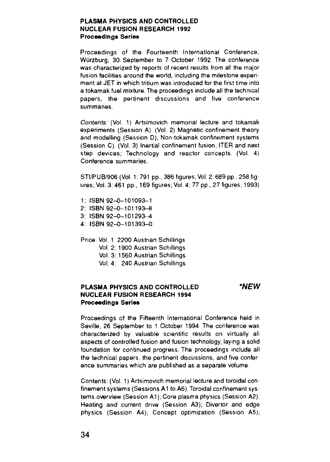#### **PLASMA PHYSICS AND CONTROLLED NUCLEAR FUSION RESEARCH 1992 Proceedings Series**

Proceedings of the Fourteenth International Conference, Wurzburg, 30 September to 7 October 1992 The conference was characterized by reports of recent results from all the major fusion facilities around the world, including the milestone experiment at JET in which tritium was introduced for the first time into a tokamak fuel mixture. The proceedings include all the technical papers, the pertinent discussions and five conference summaries.

Contents: (Vol. 1) Artsimovich memorial lecture and tokamak experiments (Session A). (Vol. 2) Magnetic confinement theory and modelling (Session D); Non-tokamak confinement systems (Session C). (Vol. 3) Inertial confinement fusion; ITER and next step devices; Technology and reactor concepts. (Vol. 4) Conference summaries.

STI/PUB/906 (Vol. 1: 791 pp., 386 figures; Vol. 2:689 pp., 258 figures; Vol. 3: 461 pp., 169 figures; Vol. 4: 77 pp., 27 figures; 1993)

- 1: ISBN 92-0-101093-1
- 2: ISBN 92-0-101193-8
- 3: ISBN 92-0-101293-4
- 4: ISBN 92-0-101393-0

Price; Vol. 1; 2200 Austrian Schillings

Vol 2: 1900 Austrian Schillings

Vol. 3: 1560 Austrian Schillings

Vol. 4: 240 Austrian Schillings

#### **PLASMA PHYSICS AND CONTROLLED 'NEW NUCLEAR FUSION RESEARCH 1994 Proceedings Series**

Proceedings of the Fifteenth International Conference held in Seville, 26 September to 1 October 1994 The conference was characterized by valuable scientific results on virtually all aspects of controlled fusion and fusion technology, laying a solid foundation for continued progress. The proceedings include all the technical papers, the pertinent discussions, and five confer ence summaries which are published as a separate volume

Contents: (Vol. 1) Artsimovich memorial lecture and toroidal confinement systems (Sessions A1 to A6) Toroidal confinement systems overview (Session A1); Core plasma physics (Session A2); Heating and current drive (Session A3); Divertor and edge physics (Session A4); Concept optimization (Session A5);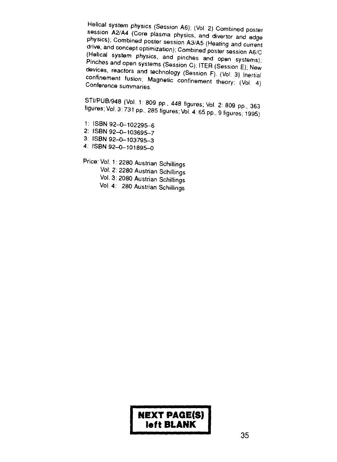**Example 28 Session A2/A4** (Core plasma physics, and divertor and<br>**physics**); Combined poster session A3/A5 (Heating and 2/A4 (Core plasma physics, and divertor and edge<br>-<br><sup>Combined poster session A3/A5 (Heating and current</sup> drive, and concept optimization); Combined poster session A6/C<br>(Helical system optimization); Combined poster session A6/C (Helical system physics, and pinches and open systems); Pinches and open systems (Session C); ITER (Session E); New devices, reactors and technology (Session F). (Vol. 3) Inertial  $\text{confinement}$  fusion: Magnetic confinement that Conference summaries

STI/PUB/948 (Vol. 1: 809 pp., 448 figures; Vol. 2: 809 pp., 363 figures; Vol. 3:731 pp., 285 figures; Vol. 4:65 pp., 9 figures; 1995)

1: ISBN 92-0-102295-6 2: ISBN 92-0-103695-7

3: ISBN 92-0-103795-3

4: ISBN 92-0-101895-0

Price: Vol. 1:2280 Austrian Schillings

Vol. 2: 2280 Austrian Schillings

Vol. 3: 2080 Austrian Schillings

Vol 4: 280 Austrian Schillings

## **NEXT PAQE(S) left BLANK**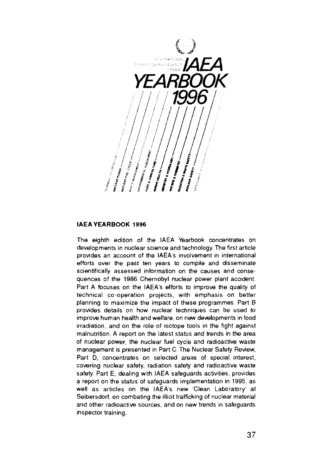

#### **IAEA YEARBOOK 1996**

The eighth edition of the IAEA Yearbook concentrates on developments in nuclear science and technology. The first article provides an account of the IAEA's involvement in international efforts over the past ten years to compile and disseminate scientifically assessed information on the causes and consequences of the 1986 Chernobyl nuclear power plant accident. Part A focuses on the IAEA's efforts to improve the quality of technical co-operation projects, with emphasis on better planning to maximize the impact of these programmes Part B provides details on how nuclear techniques can be used to improve human health and welfare, on new developments in food irradiation, and on the role of isotope tools in the fight against malnutrition. A report on the latest status and trends in the area of nuclear power, the nuclear fuel cycle and radioactive waste management is presented in Part C The Nuclear Safety Review, Part D, concentrates on selected areas of special interest, covering nuclear safety, radiation safety and radioactive waste safety. Part E, dealing with IAEA safeguards activities, provides a report on the status of safeguards implementation in 1995, as well as articles on the IAEA's new 'Clean Laboratory' at Seibersdorf, on combating the illicit trafficking of nuclear material and other radioactive sources, and on new trends in safeguards inspector training.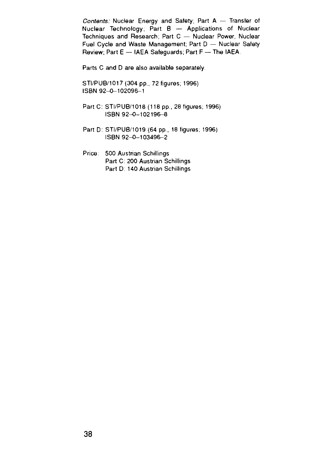Contents: Nuclear Energy and Safety; Part A — Transfer of Nuclear Technology; Part B — Applications of Nuclear Techniques and Research; Part C — Nuclear Power, Nuclear Fuel Cycle and Waste Management; Part D — Nuclear Safety Review; Part E — IAEA Safeguards; Part F — The IAEA

Parts C and D are also available separately.

STI/PUB/1017 (304 pp., 72 figures; 1996) ISBN 92-0-102096-1

- Part C: STI/PUB/1018 (118 pp., 28 figures; 1996) ISBN 92-0-102196-8
- Part D: STI/PUB/1019 (64 pp., 18 figures; 1996) ISBN 92-0-103496-2
- Price: 500 Austrian Schillings Part C: 200 Austrian Schillings Part D: 140 Austrian Schillings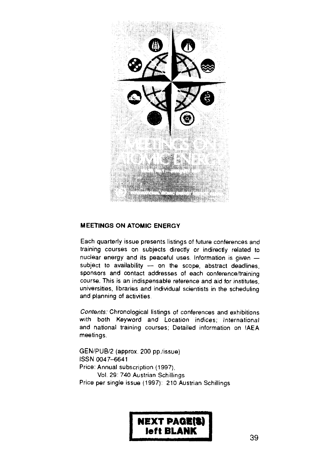

#### **MEETINGS ON ATOMIC ENERGY**

Each quarterly issue presents listings of future conferences and training courses on subjects directly or indirectly related to nuclear energy and its peaceful uses Information is given subject to availability  $-$  on the scope, abstract deadlines, sponsors and contact addresses of each conference/training course. This is an indispensable reference and aid for institutes, universities, libraries and individual scientists in the scheduling and planning of activities

Contents: Chronological listings of conferences and exhibitions with both Keyword and Location indices; International and national training courses; Detailed information on IAEA meetings.

GEN/PUB/2 (approx. 200 pp /issue) ISSN 0047-6641 Price: Annual subscription (1997), Vol. 29: 740 Austrian Schillings Price per single issue (1997): 210 Austrian Schillings

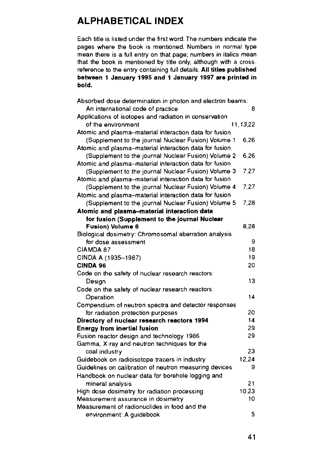## **ALPHABETICAL INDEX**

Each title is listed under the first word. The numbers indicate the pages where the book is mentioned. Numbers in normal type mean there is a full entry on that page; numbers in italics mean that the book is mentioned by title only, although with a crossreference to the entry containing full details. **All titles published between 1 January 1995 and 1 January 1997 are printed in bold.**

| Absorbed dose determination in photon and electron beams: |          |
|-----------------------------------------------------------|----------|
| An international code of practice                         | 8        |
| Applications of isotopes and radiation in conservation    |          |
| of the environment                                        | 11.13.22 |
| Atomic and plasma-material interaction data for fusion    |          |
| (Supplement to the journal Nuclear Fusion) Volume 1       | 6.26     |
| Atomic and plasma-material interaction data for fusion    |          |
| (Supplement to the journal Nuclear Fusion) Volume 2       | 6.26     |
| Atomic and plasma-material interaction data for fusion    |          |
| (Supplement to the journal Nuclear Fusion) Volume 3       | 7.27     |
| Atomic and plasma-material interaction data for fusion    |          |
| (Supplement to the journal Nuclear Fusion) Volume 4       | 7.27     |
| Atomic and plasma-material interaction data for fusion    |          |
| (Supplement to the journal Nuclear Fusion) Volume 5       | 7.28     |
| Atomic and plasma-material interaction data               |          |
| for fusion (Supplement to the journal Nuclear             |          |
| Fusion) Volume 6                                          | 8.28     |
| Biological dosimetry: Chromosomal aberration analysis     |          |
| for dose assessment                                       | 9        |
| CIAMDA 87                                                 | 18       |
| CINDA A (1935-1987)                                       | 19       |
| <b>CINDA 96</b>                                           | 20       |
| Code on the safety of nuclear research reactors:          |          |
| Desian                                                    | 13       |
| Code on the safety of nuclear research reactors:          |          |
| Operation                                                 | 14       |
| Compendium of neutron spectra and detector responses      |          |
| for radiation protection purposes                         | 20       |
| Directory of nuclear research reactors 1994               | 14       |
| <b>Energy from inertial fusion</b>                        | 29       |
| Fusion reactor design and technology 1986                 | 29       |
| Gamma, X-ray and neutron techniques for the               |          |
| coal industry                                             | 23       |
| Guidebook on radioisotope tracers in industry             | 12,24    |
| Guidelines on calibration of neutron measuring devices    | 9        |
| Handbook on nuclear data for borehole logging and         |          |
| mineral analysis                                          | 21       |
| High dose dosimetry for radiation processing              | 10.23    |
| Measurement assurance in dosimetry                        | 10       |
| Measurement of radionuclides in food and the              |          |
| environment: A guidebook                                  | 5        |
|                                                           |          |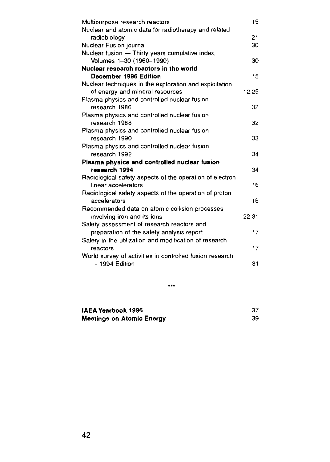| Multipurpose research reactors                           | 15    |
|----------------------------------------------------------|-------|
| Nuclear and atomic data for radiotherapy and related     |       |
| radiobiology                                             | 21    |
| Nuclear Fusion journal                                   | 30    |
| Nuclear fusion - Thirty years cumulative index,          |       |
| Volumes 1-30 (1960-1990)                                 | 30    |
| Nuclear research reactors in the world -                 |       |
| December 1996 Edition                                    | 15    |
| Nuclear techniques in the exploration and exploitation   |       |
| of energy and mineral resources                          | 12.25 |
| Plasma physics and controlled nuclear fusion             |       |
| research 1986                                            | 32    |
| Plasma physics and controlled nuclear fusion             |       |
| research 1988                                            | 32    |
| Plasma physics and controlled nuclear fusion             |       |
| research 1990                                            | 33    |
| Plasma physics and controlled nuclear fusion             |       |
| research 1992                                            | 34    |
| Plasma physics and controlled nuclear fusion             |       |
| research 1994                                            | 34    |
| Radiological safety aspects of the operation of electron |       |
| linear accelerators                                      | 16    |
| Radiological safety aspects of the operation of proton   |       |
| accelerators                                             | 16    |
| Recommended data on atomic collision processes           |       |
| involving iron and its ions                              | 22.31 |
| Safety assessment of research reactors and               |       |
| preparation of the safety analysis report                | 17    |
| Safety in the utilization and modification of research   |       |
| reactors                                                 | 17    |
| World survey of activities in controlled fusion research |       |
| - 1994 Edition                                           | 31    |
|                                                          |       |

...

| IAEA Yearbook 1996               |  |
|----------------------------------|--|
| <b>Meetings on Atomic Energy</b> |  |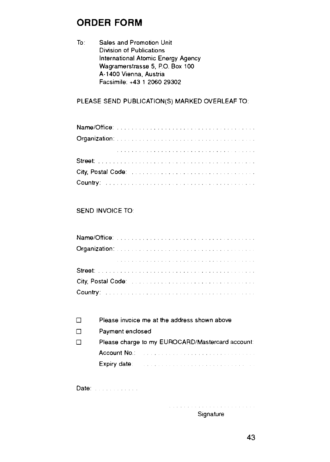## **ORDER FORM**

To: Sales and Promotion Unit Division of Publications International Atomic Energy Agency Wagramerstrasse 5, P.O. Box 100 A-1400 Vienna, Austria Facsimile: +43 1 2060 29302

### PLEASE SEND PUBLICATION(S) MARKED OVERLEAF TO:

| Country: www.communication.com/www.communication.com |  |  |  |  |  |  |  |  |  |  |  |  |  |  |  |  |  |  |  |
|------------------------------------------------------|--|--|--|--|--|--|--|--|--|--|--|--|--|--|--|--|--|--|--|

### SEND INVOICE TO:

| City, Postal Code: International Process Process and Process Process Process Process Process Process Process Process Process Process Process Process Process Process Process Process Process Process Process Process Process P |  |  |  |  |  |  |  |  |  |  |  |  |  |  |  |  |  |  |
|--------------------------------------------------------------------------------------------------------------------------------------------------------------------------------------------------------------------------------|--|--|--|--|--|--|--|--|--|--|--|--|--|--|--|--|--|--|
|                                                                                                                                                                                                                                |  |  |  |  |  |  |  |  |  |  |  |  |  |  |  |  |  |  |

| $\mathsf{L}$ | Please invoice me at the address shown above                                                                                                                                                                                                                                                                              |
|--------------|---------------------------------------------------------------------------------------------------------------------------------------------------------------------------------------------------------------------------------------------------------------------------------------------------------------------------|
| □            | Payment enclosed                                                                                                                                                                                                                                                                                                          |
| ப            | Please charge to my EUROCARD/Mastercard account                                                                                                                                                                                                                                                                           |
|              | Account No.: Account No.: Account No.: Account No.: Account No.: Account No.: Account N<br>the second service services and control to the service of the service of the service of the service of the service of the service of the service of the service of the service of the service of the service of the service of |
|              | Expiry date:<br>the contract of the contract of the contract of the contract of the contract of the contract of the contract of                                                                                                                                                                                           |
|              |                                                                                                                                                                                                                                                                                                                           |

Date: William State

a sa karana a sa karana a sa sa sa sa sa sa sa sa sa sa s **Signature**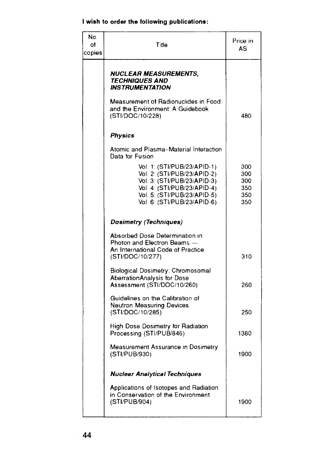## I **wish to order the following publications:**

| No.<br>of<br>copies | Title                                                                                                                                                                                  | Price in<br>AS                         |
|---------------------|----------------------------------------------------------------------------------------------------------------------------------------------------------------------------------------|----------------------------------------|
|                     | NUCLEAR MEASUREMENTS.<br><i><b>TECHNIQUES AND</b></i><br><b>INSTRUMENTATION</b>                                                                                                        |                                        |
|                     | Measurement of Radionuclides in Food<br>and the Environment: A Guidebook<br>(STI/DOC/10/228)                                                                                           | 480                                    |
|                     | Physics                                                                                                                                                                                |                                        |
|                     | Atomic and Plasma-Material Interaction<br>Data for Eusion                                                                                                                              |                                        |
|                     | Vol. 1: (STI/PUB/23/APID-1)<br>Vol. 2: (STI/PUB/23/APID-2)<br>Vol. 3: (STI/PUB/23/APID-3)<br>Vol. 4: (STI/PUB/23/APID-4)<br>Vol. 5: (STI/PUB/23/APID-5)<br>Vol. 6: (STI/PUB/23/APID-6) | 300<br>300<br>300<br>350<br>350<br>350 |
|                     | Dosimetry (Techniques)                                                                                                                                                                 |                                        |
|                     | Absorbed Dose Determination in<br>Photon and Electron Beams -<br>An International Code of Practice<br>(STI/DOC/10/277)                                                                 | 310                                    |
|                     | Biological Dosimetry: Chromosomal<br>AberrationAnalysis for Dose<br>Assessment (STI/DOC/10/260)                                                                                        | 260                                    |
|                     | Guidelines on the Calibration of<br><b>Neutron Measuring Devices</b><br>(STI/DOC/10/285)                                                                                               | 250                                    |
|                     | High Dose Dosimetry for Radiation<br>Processing (STI/PUB/846)                                                                                                                          | 1380                                   |
|                     | Measurement Assurance in Dosimetry<br>(STI/PUB/930)                                                                                                                                    | 1900                                   |
|                     | Nuclear Analytical Techniques                                                                                                                                                          |                                        |
|                     | Applications of Isotopes and Radiation<br>in Conservation of the Environment<br>(STI/PUB/904)                                                                                          | 1900                                   |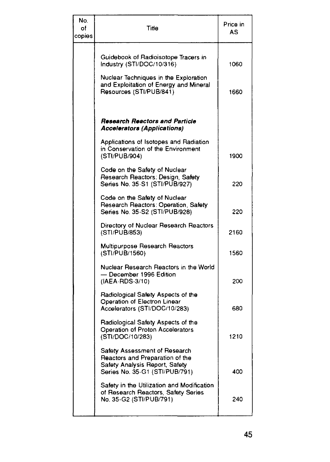| No.<br>of<br>copies | Title                                                                                                                                | Price in<br>AS |
|---------------------|--------------------------------------------------------------------------------------------------------------------------------------|----------------|
|                     | Guidebook of Radioisotope Tracers in<br>Industry (STI/DOC/10/316)                                                                    | 1060           |
|                     | Nuclear Techniques in the Exploration<br>and Exploitation of Energy and Mineral<br>Resources (STI/PUB/841)                           | 1660           |
|                     | Research Reactors and Particle                                                                                                       |                |
|                     | <b>Accelerators (Applications)</b><br>Applications of Isotopes and Radiation<br>in Conservation of the Environment<br>(STI/PUB/904)  | 1900           |
|                     | Code on the Safety of Nuclear<br>Research Reactors: Design, Safety<br>Series No. 35-S1 (STI/PUB/927)                                 | 220            |
|                     | Code on the Safety of Nuclear<br>Research Reactors: Operation, Safety<br>Series No. 35-S2 (STI/PUB/928)                              | 220            |
|                     | Directory of Nuclear Research Reactors<br>(STI/PUB/853)                                                                              | 2160           |
|                     | <b>Multipurpose Research Reactors</b><br>(STI/PUB/1560)                                                                              | 1560           |
|                     | Nuclear Research Reactors in the World<br>— December 1996 Edition<br>(IAEA-RDS-3/10)                                                 | 200            |
|                     | Radiological Safety Aspects of the<br>Operation of Electron Linear<br>Accelerators (STI/DOC/10/283)                                  | 680            |
|                     | Radiological Safety Aspects of the<br>Operation of Proton Accelerators<br>(STI/DOC/10/283)                                           | 1210           |
|                     | Safety Assessment of Research<br>Reactors and Preparation of the<br>Safety Analysis Report, Safety<br>Series No. 35-G1 (STI/PUB/791) | 400            |
|                     | Safety in the Utilization and Modification<br>of Research Reactors, Safety Series<br>No. 35-G2 (STI/PUB/791)                         | 240            |
|                     |                                                                                                                                      |                |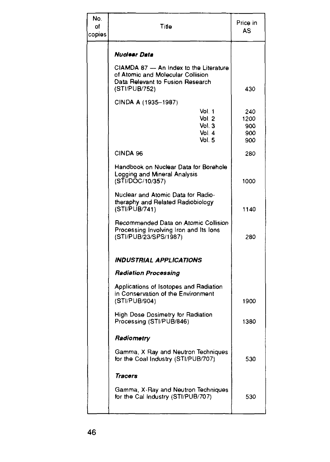| No.<br>of<br>copies | Title                                                                                                                            | Price in<br>AS                   |
|---------------------|----------------------------------------------------------------------------------------------------------------------------------|----------------------------------|
|                     | Nuclear Data                                                                                                                     |                                  |
|                     | CIAMDA 87 - An Index to the Literature<br>of Atomic and Molecular Collision<br>Data Relevant to Fusion Research<br>(STI/PUB/752) | 430                              |
|                     | CINDA A (1935-1987)                                                                                                              |                                  |
|                     | Vol. 1<br>Vol. 2<br>Vol. 3<br>Vol. 4<br>Vol. 5                                                                                   | 240<br>1200<br>900<br>900<br>900 |
|                     | CINDA 96                                                                                                                         | 280                              |
|                     | Handbook on Nuclear Data for Borehole<br>Logging and Mineral Analysis<br>(STI/DOC/10/357)                                        | 1000                             |
|                     | Nuclear and Atomic Data for Radio-<br>theraphy and Related Radiobiology<br>(STI/PUB/741)                                         | 1140                             |
|                     | Recommended Data on Atomic Collision<br>Processing Involving Iron and Its lons<br>(STI/PUB/23/SPS/1987)                          | 280                              |
|                     | <b>INDUSTRIAL APPLICATIONS</b>                                                                                                   |                                  |
|                     | <b>Radiation Processing</b>                                                                                                      |                                  |
|                     | Applications of Isotopes and Radiation<br>in Conservation of the Environment<br>(STI/PUB/904)                                    | 1900                             |
|                     | <b>High Dose Dosimetry for Radiation</b><br>Processing (STI/PUB/846)                                                             | 1380                             |
|                     | Radiometry                                                                                                                       |                                  |
|                     | Gamma, X Ray and Neutron Techniques<br>for the Coal Industry (STI/PUB/707)                                                       | 530                              |
|                     | Tracers                                                                                                                          |                                  |
|                     | Gamma, X-Ray and Neutron Techniques<br>for the Cal Industry (STI/PUB/707)                                                        | 530                              |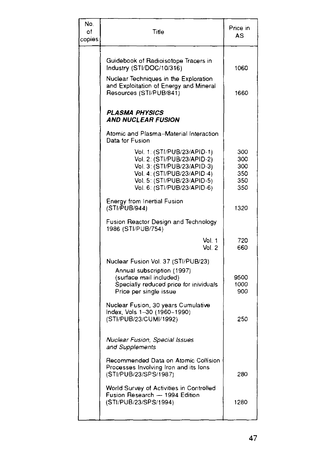| No.<br>of<br>copies | Title                                                                                                                                                                                                                                   | Price in<br>AS                         |
|---------------------|-----------------------------------------------------------------------------------------------------------------------------------------------------------------------------------------------------------------------------------------|----------------------------------------|
|                     | Guidebook of Radioisotope Tracers in<br>Industry (STI/DOC/10/316)<br>Nuclear Techniques in the Exploration<br>and Exploitation of Energy and Mineral<br>Resources (STI/PUB/841)                                                         | 1060<br>1660                           |
|                     | PLASMA PHYSICS<br>AND NUCLEAR FUSION                                                                                                                                                                                                    |                                        |
|                     | Atomic and Plasma-Material Interaction<br>Data for Fusion                                                                                                                                                                               |                                        |
|                     | Vol. 1: (STI/PUB/23/APID-1)<br>Vol. 2: (STI/PUB/23/APID-2)<br>Vol. 3: (STI/PUB/23/APID-3)<br>Vol. 4: (STI/PUB/23/APID-4)<br>Vol. 5: (STI/PUB/23/APID-5)<br>Vol. 6: (STI/PUB/23/APID-6)                                                  | 300<br>300<br>300<br>350<br>350<br>350 |
|                     | Energy from Inertial Fusion<br>(STI/PUB/944)                                                                                                                                                                                            | 1320                                   |
|                     | Fusion Reactor Design and Technology<br>1986 (STI/PUB/754)                                                                                                                                                                              |                                        |
|                     | Vol. 1<br>Vol 2                                                                                                                                                                                                                         | 720<br>660                             |
|                     | Nuclear Fusion Vol. 37 (STI/PUB/23)<br>Annual subscription (1997)<br>(surface mail included)<br>Specially reduced price for inividuals<br>Price per single issue<br>Nuclear Fusion, 30 years Cumulative<br>Index, Vols 1-30 (1960-1990) | 9500<br>1000<br>900                    |
|                     | (STI/PUB/23/CUMI/1992)                                                                                                                                                                                                                  | 250                                    |
|                     | Nuclear Fusion, Special Issues<br>and Supplements                                                                                                                                                                                       |                                        |
|                     | Recommended Data on Atomic Collision<br>Processes Involving Iron and its lons<br>(STI/PUB/23/SPS/1987)                                                                                                                                  | 280                                    |
|                     | World Survey of Activities in Controlled<br>Fusion Research - 1994 Edition<br>(STI/PUB/23/SPS/1994)                                                                                                                                     | 1280                                   |
|                     |                                                                                                                                                                                                                                         |                                        |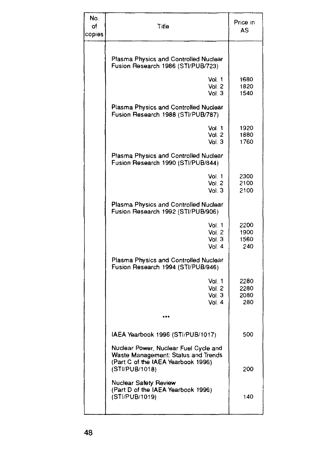| No.<br>оf<br>copies | Title                                                                                                                                | Price in<br>AS              |
|---------------------|--------------------------------------------------------------------------------------------------------------------------------------|-----------------------------|
|                     | Plasma Physics and Controlled Nuclear<br>Fusion Research 1986 (STI/PUB/723)                                                          |                             |
|                     | Vol. 1<br>Vol. 2<br>Vol. 3                                                                                                           | 1680<br>1820<br>1540        |
|                     | Plasma Physics and Controlled Nuclear<br>Fusion Research 1988 (STI/PUB/787)                                                          |                             |
|                     | Vol. 1<br>Vol. 2<br>Vol. 3                                                                                                           | 1920<br>1880<br>1760        |
|                     | Plasma Physics and Controlled Nuclear<br>Fusion Research 1990 (STI/PUB/844)                                                          |                             |
|                     | Vol. 1<br>Vol. 2<br>Vol. 3                                                                                                           | 2300<br>2100<br>2100        |
|                     | Plasma Physics and Controlled Nuclear<br>Fusion Research 1992 (STI/PUB/906)                                                          |                             |
|                     | Vol. 1<br>Vol. 2<br>Vol. 3<br>Vol. 4                                                                                                 | 2200<br>1900<br>1560<br>240 |
|                     | Plasma Physics and Controlled Nuclear<br>Fusion Research 1994 (STI/PUB/946)                                                          |                             |
|                     | Vol. 1<br>Vol. 2<br>Vol. 3<br>Vol. 4                                                                                                 | 2280<br>2280<br>2080<br>280 |
|                     |                                                                                                                                      |                             |
|                     | IAEA Yearbook 1996 (STI/PUB/1017)                                                                                                    | 500                         |
|                     | Nuclear Power, Nuclear Fuel Cycle and<br>Waste Management: Status and Trends<br>(Part C of the IAEA Yearbook 1996)<br>(STI/PUB/1018) | 200                         |
|                     | Nuclear Safety Review<br>(Part D of the IAEA Yearbook 1996)<br>(STI/PUB/1019)                                                        | 140                         |
|                     |                                                                                                                                      |                             |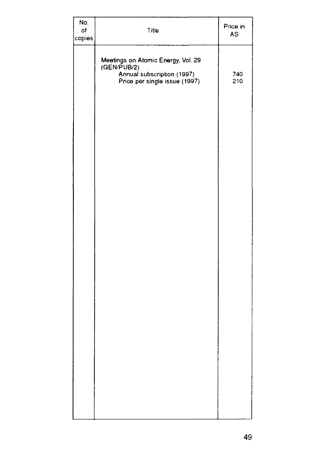| No.<br>of<br>copies | Title                                                                                                            | Price in<br>AS |
|---------------------|------------------------------------------------------------------------------------------------------------------|----------------|
|                     | Meetings on Atomic Energy, Vol. 29<br>(GEN/PUB/2)<br>Annual subscription (1997)<br>Price per single issue (1997) | 740<br>210     |
|                     |                                                                                                                  |                |
|                     |                                                                                                                  |                |
|                     |                                                                                                                  |                |
|                     |                                                                                                                  |                |
|                     |                                                                                                                  |                |
|                     |                                                                                                                  |                |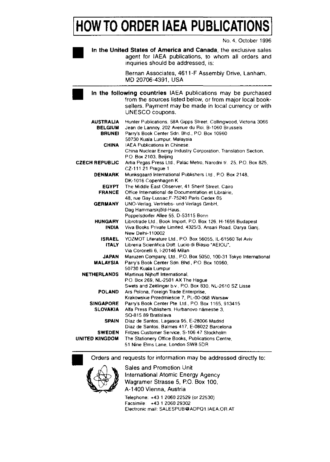# **HOW TO ORDER IAEA PUBLICATION**

No. 4, October 1996

**In the United States of America and Canada,** the exclusive sales agent for IAEA publications, to whom all orders and inquiries should be addressed, is:

> Bernan Associates, 4611-F Assembly Drive, Lanham, MD 20706-4391, USA

In the following countries IAEA publications may be purchased from the sources listed below, or from major local booksellers. Payment may be made in local currency or with UNESCO coupons.

| <b>AUSTRALIA</b><br><b>BELGIUM</b><br><b>BRUNEI</b> | Hunter Publications, 58A Gipps Street, Collingwood, Victoria 3066<br>Jean de Lannoy, 202 Avenue du Roi, B-1060 Brussels<br>Parry's Book Center Sdn. Bhd., P.O. Box 10960 |
|-----------------------------------------------------|--------------------------------------------------------------------------------------------------------------------------------------------------------------------------|
|                                                     | 50730 Kuala Lumpur, Malaysia                                                                                                                                             |
| <b>CHINA</b>                                        | IAEA Publications in Chinese:                                                                                                                                            |
|                                                     | China Nuclear Energy Industry Corporation, Translation Section,                                                                                                          |
|                                                     | P.O. Box 2103, Beijing                                                                                                                                                   |
| CZECH REPUBLIC                                      | Artia Pegas Press Ltd., Palác Metro, Narodni tř. 25, P.O. Box 825,                                                                                                       |
|                                                     | CZ-111 21 Prague 1                                                                                                                                                       |
| <b>DENMARK</b>                                      | Munksgaard International Publishers Ltd., P.O. Box 2148,                                                                                                                 |
|                                                     | DK-1016 Copenhagen K                                                                                                                                                     |
| <b>EGYPT</b>                                        | The Middle East Observer, 41 Sherif Street, Cairo                                                                                                                        |
| <b>FRANCE</b>                                       | Office International de Documentation et Librairie.                                                                                                                      |
|                                                     | 48, rue Gay-Lussac, F-75240 Paris Cedex 05                                                                                                                               |
| <b>GERMANY</b>                                      | UNO-Verlag, Vertriebs- und Verlags GmbH,                                                                                                                                 |
|                                                     | Dag Hammarskjöld-Haus,                                                                                                                                                   |
|                                                     | Poppelsdorfer Allee 55, D-53115 Bonn                                                                                                                                     |
| <b>HUNGARY</b>                                      | Librotrade Ltd., Book Import, P.O. Box 126, H-1656 Budapest                                                                                                              |
| <b>INDIA</b>                                        | Viva Books Private Limited, 4325/3, Ansari Road, Darya Ganj,                                                                                                             |
|                                                     | New Delhi-110002                                                                                                                                                         |
| <b>ISRAEL</b>                                       | YOZMOT Literature Ltd., P.O. Box 56055, IL-61560 Tel Aviv                                                                                                                |
| <b>ITALY</b>                                        | Libreria Scientifica Dott. Lucio di Biasio "AEIOU".                                                                                                                      |
|                                                     | Via Coronelli 6, I-20146 Milan                                                                                                                                           |
| <b>JAPAN</b>                                        | Maruzen Company, Ltd., P.O. Box 5050, 100-31 Tokyo International                                                                                                         |
| MALAYSIA                                            | Parry's Book Center Sdn. Bhd., P.O. Box 10960.                                                                                                                           |
|                                                     | 50730 Kuala Lumpur                                                                                                                                                       |
| <b>NETHERLANDS</b>                                  | Martinus Nijhoff International,                                                                                                                                          |
|                                                     | P.O. Box 269, NL-2501 AX The Hague                                                                                                                                       |
|                                                     | Swets and Zeitlinger b.v., P.O. Box 830, NL-2610 SZ Lisse                                                                                                                |
| <b>POLAND</b>                                       | Ars Polona, Foreign Trade Enterprise,                                                                                                                                    |
|                                                     | Krakowskie Przedmieście 7, PL-00-068 Warsaw                                                                                                                              |
| <b>SINGAPORE</b>                                    | Parry's Book Center Pte. Ltd., P.O. Box 1165, 913415                                                                                                                     |
| <b>SLOVAKIA</b>                                     | Alfa Press Publishers, Hurbanovo námestie 3.                                                                                                                             |
|                                                     | SO-815 89 Bratislava                                                                                                                                                     |
| <b>SPAIN</b>                                        | Díaz de Santos, Lagasca 95, E-28006 Madrid                                                                                                                               |
|                                                     | Díaz de Santos, Balmes 417, E-08022 Barcelona                                                                                                                            |
|                                                     |                                                                                                                                                                          |
| <b>SWEDEN</b>                                       | Fritzes Customer Service, S-106 47 Stockholm                                                                                                                             |
| UNITED KINGDOM                                      | The Stationery Office Books, Publications Centre.                                                                                                                        |
|                                                     | 51 Nine Elms Lane, London SW8 5DR                                                                                                                                        |

Orders and requests for information may be addressed directly to:



**•**

Sales and Promotion Unit International Atomic Energy Agency Wagramer Strasse 5, P.O. Box 100, A-1400 Vienna, Austria Telephone: +43 1 2060 22529 (or 22530) Facsimile +43 1 2060 29302 Electronic mail: SALESPUB@ADPO1 IAEA.OR AT